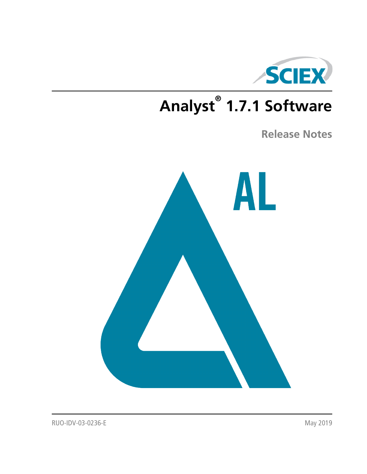

# **Analyst® 1.7.1 Software**

**Release Notes**



RUO-IDV-03-0236-E May 2019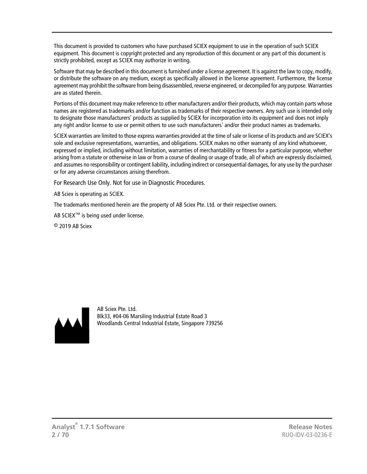This document is provided to customers who have purchased SCIEX equipment to use in the operation of such SCIEX equipment. This document is copyright protected and any reproduction of this document or any part of this document is strictly prohibited, except as SCIEX may authorize in writing.

Software that may be described in this document is furnished under a license agreement. It is against the law to copy, modify, or distribute the software on any medium, except as specifically allowed in the license agreement. Furthermore, the license agreement may prohibit the software from being disassembled, reverse engineered, or decompiled for any purpose. Warranties are as stated therein.

Portions of this document may make reference to other manufacturers and/or their products, which may contain parts whose names are registered as trademarks and/or function as trademarks of their respective owners. Any such use is intended only to designate those manufacturers' products as supplied by SCIEX for incorporation into its equipment and does not imply any right and/or license to use or permit others to use such manufacturers' and/or their product names as trademarks.

SCIEX warranties are limited to those express warranties provided at the time of sale or license of its products and are SCIEX's sole and exclusive representations, warranties, and obligations. SCIEX makes no other warranty of any kind whatsoever, expressed or implied, including without limitation, warranties of merchantability or fitness for a particular purpose, whether arising from a statute or otherwise in law or from a course of dealing or usage of trade, all of which are expressly disclaimed, and assumes no responsibility or contingent liability, including indirect or consequential damages, for any use by the purchaser or for any adverse circumstances arising therefrom.

For Research Use Only. Not for use in Diagnostic Procedures.

AB Sciex is operating as SCIEX.

The trademarks mentioned herein are the property of AB Sciex Pte. Ltd. or their respective owners.

AB SCIEX<sup>™</sup> is being used under license.

 $\circ$  2019 AB Sciex



AB Sciex Pte. Ltd. Blk33, #04-06 Marsiling Industrial Estate Road 3 Woodlands Central Industrial Estate, Singapore 739256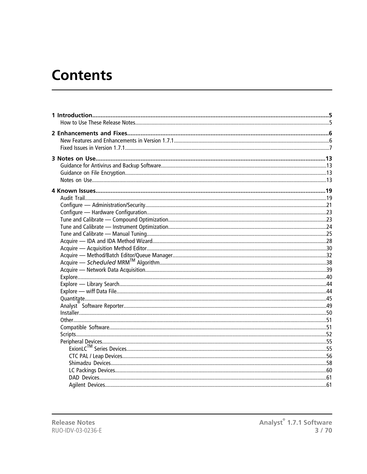# **Contents**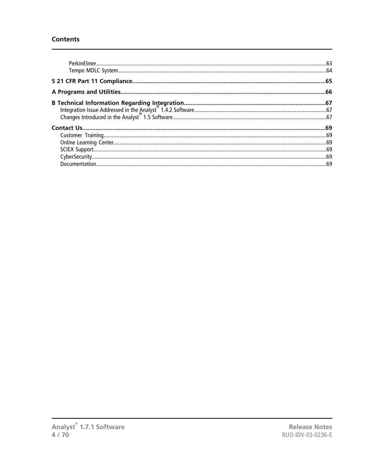#### **Contents**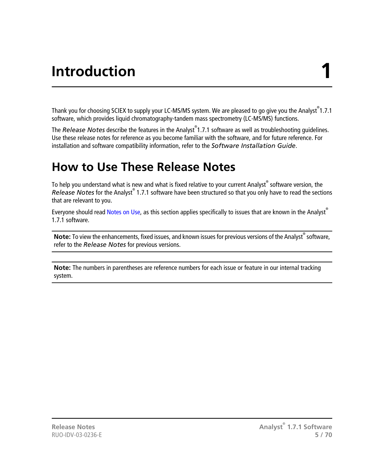# **Introduction 1**

<span id="page-4-0"></span>Thank you for choosing SCIEX to supply your LC-MS/MS system. We are pleased to go give you the Analyst<sup>®</sup>1.7.1 software, which provides liquid chromatography-tandem mass spectrometry (LC-MS/MS) functions.

The *Release Notes* describe the features in the Analyst® 1.7.1 software as well as troubleshooting guidelines. Use these release notes for reference as you become familiar with the software, and for future reference. For installation and software compatibility information, refer to the *Software Installation Guide*.

### <span id="page-4-1"></span>**How to Use These Release Notes**

To help you understand what is new and what is fixed relative to your current Analyst® software version, the *Release Notes* for the Analyst® 1.7.1 software have been structured so that you only have to read the sections that are relevant to you.

Everyone should read [Notes on Use](#page-12-0), as this section applies specifically to issues that are known in the Analyst<sup>®</sup> 1.7.1 software.

**Note:** To view the enhancements, fixed issues, and known issues for previous versions of the Analyst<sup>®</sup> software, refer to the *Release Notes* for previous versions.

**Note:** The numbers in parentheses are reference numbers for each issue or feature in our internal tracking system.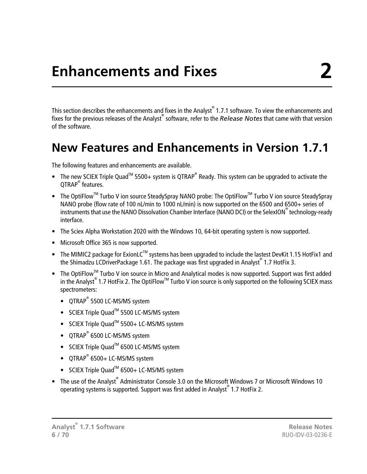<span id="page-5-0"></span>This section describes the enhancements and fixes in the Analyst $^\circ$  1.7.1 software. To view the enhancements and fixes for the previous releases of the Analyst® software, refer to the *Release Notes* that came with that version of the software.

### <span id="page-5-1"></span>**New Features and Enhancements in Version 1.7.1**

The following features and enhancements are available.

- The new SCIEX Triple Quad<sup>™</sup> 5500+ system is QTRAP<sup>®</sup> Ready. This system can be upgraded to activate the QTRAP<sup>®</sup> features.
- The OptiFlow<sup>™</sup> Turbo V ion source SteadySpray NANO probe: The OptiFlow<sup>™</sup> Turbo V ion source SteadySpray NANO probe (flow rate of 100 nL/min to 1000 nL/min) is now supported on the 6500 and 6500+ series of instruments that use the NANO Dissolvation Chamber Interface (NANO DCI) or the SelexION® technology-ready interface.
- The Sciex Alpha Workstation 2020 with the Windows 10, 64-bit operating system is now supported.
- Microsoft Office 365 is now supported.
- The MIMIC2 package for ExionLC<sup>TM</sup> systems has been upgraded to include the lastest DevKit 1.15 HotFix1 and the Shimadzu LCDriverPackage 1.61. The package was first upgraded in Analyst® 1.7 HotFix 3.
- The OptiFlow<sup>TM</sup> Turbo V ion source in Micro and Analytical modes is now supported. Support was first added in the Analyst® 1.7 HotFix 2. The OptiFlow™ Turbo V ion source is only supported on the following SCIEX mass spectrometers:
	- QTRAP® 5500 LC-MS/MS system
	- SCIEX Triple Quad<sup>™</sup> 5500 LC-MS/MS system
	- SCIEX Triple Quad<sup>™</sup> 5500+ LC-MS/MS system
	- QTRAP® 6500 LC-MS/MS system
	- SCIEX Triple Quad<sup>™</sup> 6500 LC-MS/MS system
	- QTRAP® 6500+ LC-MS/MS system
	- SCIEX Triple Quad<sup>™</sup> 6500+ LC-MS/MS system
- The use of the Analyst® Administrator Console 3.0 on the Microsoft Windows 7 or Microsoft Windows 10 operating systems is supported. Support was first added in Analyst® 1.7 HotFix 2.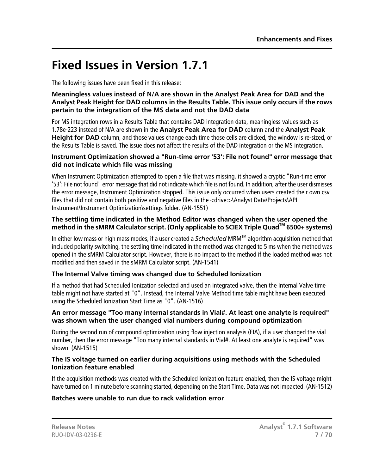### <span id="page-6-0"></span>**Fixed Issues in Version 1.7.1**

The following issues have been fixed in this release:

#### **Meaningless values instead of N/A are shown in the Analyst Peak Area for DAD and the Analyst Peak Height for DAD columns in the Results Table. This issue only occurs if the rows pertain to the integration of the MS data and not the DAD data**

For MS integration rows in a Results Table that contains DAD integration data, meaningless values such as 1.78e-223 instead of N/A are shown in the **Analyst Peak Area for DAD** column and the **Analyst Peak Height for DAD** column, and those values change each time those cells are clicked, the window is re-sized, or the Results Table is saved. The issue does not affect the results of the DAD integration or the MS integration.

#### **Instrument Optimization showed a "Run-time error '53': File not found" error message that did not indicate which file was missing**

When Instrument Optimization attempted to open a file that was missing, it showed a cryptic "Run-time error '53': File not found" error message that did not indicate which file is not found. In addition, after the user dismisses the error message, Instrument Optimization stopped. This issue only occurred when users created their own csv files that did not contain both positive and negative files in the <drive:>\Analyst Data\Projects\API Instrument\Instrument Optimization\settings folder. (AN-1551)

#### **The settling time indicated in the Method Editor was changed when the user opened the method in the sMRM Calculator script. (Only applicable to SCIEX Triple QuadTM 6500+ systems)**

In either low mass or high mass modes, if a user created a *Scheduled* MRMTM algorithm acquisition method that included polarity switching, the settling time indicated in the method was changed to 5 ms when the method was opened in the sMRM Calculator script. However, there is no impact to the method if the loaded method was not modified and then saved in the sMRM Calculator script. (AN-1541)

#### **The Internal Valve timing was changed due to Scheduled Ionization**

If a method that had Scheduled Ionization selected and used an integrated valve, then the Internal Valve time table might not have started at "0". Instead, the Internal Valve Method time table might have been executed using the Scheduled Ionization Start Time as "0". (AN-1516)

#### **An error message "Too many internal standards in Vial#. At least one analyte is required" was shown when the user changed vial numbers during compound optimization**

During the second run of compound optimization using flow injection analysis (FIA), if a user changed the vial number, then the error message "Too many internal standards in Vial#. At least one analyte is required" was shown. (AN-1515)

#### **The IS voltage turned on earlier during acquisitions using methods with the Scheduled Ionization feature enabled**

If the acquisition methods was created with the Scheduled Ionization feature enabled, then the IS voltage might have turned on 1 minute before scanning started, depending on the Start Time. Data was not impacted. (AN-1512)

#### **Batches were unable to run due to rack validation error**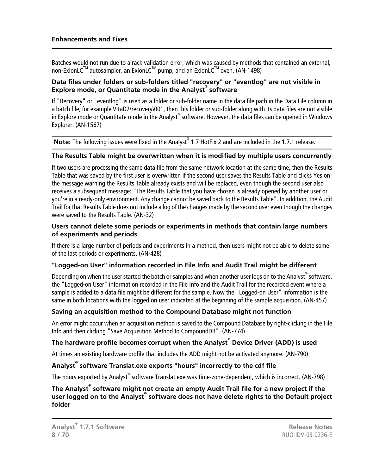Batches would not run due to a rack validation error, which was caused by methods that contained an external, non-ExionLC™ autosampler, an ExionLC™ pump, and an ExionLC™ oven. (AN-1498)

#### **Data files under folders or sub-folders titled "recovery" or "eventlog" are not visible in Explore mode, or Quantitate mode in the Analyst® software**

If "Recovery" or "eventlog" is used as a folder or sub-folder name in the data file path in the Data File column in a batch file, for example VitaD2\recovery\001, then this folder or sub-folder along with its data files are not visible in Explore mode or Quantitate mode in the Analyst® software. However, the data files can be opened in Windows Explorer. (AN-1567)

Note: The following issues were fixed in the Analyst<sup>®</sup> 1.7 HotFix 2 and are included in the 1.7.1 release.

#### **The Results Table might be overwritten when it is modified by multiple users concurrently**

If two users are processing the same data file from the same network location at the same time, then the Results Table that was saved by the first user is overwritten if the second user saves the Results Table and clicks Yes on the message warning the Results Table already exists and will be replaced, even though the second user also receives a subsequent message: "The Results Table that you have chosen is already opened by another user or you're in a ready-only environment. Any change cannot be saved back to the Results Table". In addition, the Audit Trail for that Results Table does not include a log of the changes made by the second user even though the changes were saved to the Results Table. (AN-32)

#### **Users cannot delete some periods or experiments in methods that contain large numbers of experiments and periods**

If there is a large number of periods and experiments in a method, then users might not be able to delete some of the last periods or experiments. (AN-428)

#### **"Logged-on User" information recorded in File Info and Audit Trail might be different**

Depending on when the user started the batch or samples and when another user logs on to the Analyst $\degree$  software, the "Logged-on User" information recorded in the File Info and the Audit Trail for the recorded event where a sample is added to a data file might be different for the sample. Now the "Logged-on User" information is the same in both locations with the logged on user indicated at the beginning of the sample acquisition. (AN-457)

#### **Saving an acquisition method to the Compound Database might not function**

An error might occur when an acquisition method is saved to the Compound Database by right-clicking in the File Info and then clicking "Save Acquisition Method to CompoundDB". (AN-774)

#### **The hardware profile becomes corrupt when the Analyst® Device Driver (ADD) is used**

At times an existing hardware profile that includes the ADD might not be activated anymore. (AN-790)

#### **Analyst® software Translat.exe exports "hours" incorrectly to the cdf file**

The hours exported by Analyst® software Translat.exe was time-zone-dependent, which is incorrect. (AN-798)

#### **The Analyst® software might not create an empty Audit Trail file for a new project if the user logged on to the Analyst® software does not have delete rights to the Default project folder**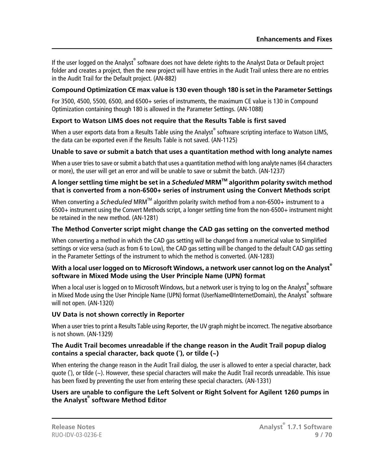If the user logged on the Analyst® software does not have delete rights to the Analyst Data or Default project folder and creates a project, then the new project will have entries in the Audit Trail unless there are no entries in the Audit Trail for the Default project. (AN-882)

#### **Compound Optimization CE max value is 130 even though 180 is set in the Parameter Settings**

For 3500, 4500, 5500, 6500, and 6500+ series of instruments, the maximum CE value is 130 in Compound Optimization containing though 180 is allowed in the Parameter Settings. (AN-1088)

#### **Export to Watson LIMS does not require that the Results Table is first saved**

When a user exports data from a Results Table using the Analyst $^\circ$  software scripting interface to Watson LIMS, the data can be exported even if the Results Table is not saved. (AN-1125)

#### **Unable to save or submit a batch that uses a quantitation method with long analyte names**

When a user tries to save or submit a batch that uses a quantitation method with long analyte names (64 characters or more), the user will get an error and will be unable to save or submit the batch. (AN-1237)

#### **A longer settling time might be set in a** *Scheduled* **MRMTM algorithm polarity switch method that is converted from a non-6500+ series of instrument using the Convert Methods script**

When converting a *Scheduled* MRM<sup>™</sup> algorithm polarity switch method from a non-6500+ instrument to a 6500+ instrument using the Convert Methods script, a longer settling time from the non-6500+ instrument might be retained in the new method. (AN-1281)

#### **The Method Converter script might change the CAD gas setting on the converted method**

When converting a method in which the CAD gas setting will be changed from a numerical value to Simplified settings or vice versa (such as from 6 to Low), the CAD gas setting will be changed to the default CAD gas setting in the Parameter Settings of the instrument to which the method is converted. (AN-1283)

#### **With a local user logged on to Microsoft Windows, a network user cannot log on the Analyst® software in Mixed Mode using the User Principle Name (UPN) format**

When a local user is logged on to Microsoft Windows, but a network user is trying to log on the Analyst $^\circ$  software in Mixed Mode using the User Principle Name (UPN) format (UserName@InternetDomain), the Analyst® software will not open. (AN-1320)

#### **UV Data is not shown correctly in Reporter**

When a user tries to print a Results Table using Reporter, the UV graph might be incorrect. The negative absorbance is not shown. (AN-1329)

#### **The Audit Trail becomes unreadable if the change reason in the Audit Trail popup dialog contains a special character, back quote (`), or tilde (~)**

When entering the change reason in the Audit Trail dialog, the user is allowed to enter a special character, back quote (`), or tilde (~). However, these special characters will make the Audit Trail records unreadable. This issue has been fixed by preventing the user from entering these special characters. (AN-1331)

#### **Users are unable to configure the Left Solvent or Right Solvent for Agilent 1260 pumps in the Analyst® software Method Editor**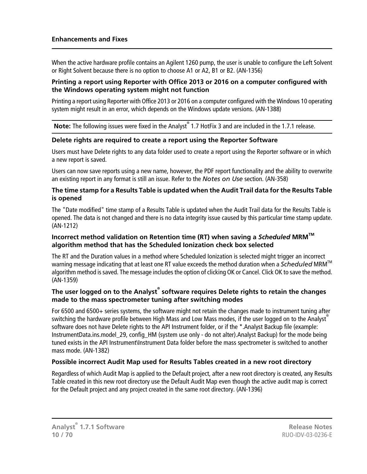When the active hardware profile contains an Agilent 1260 pump, the user is unable to configure the Left Solvent or Right Solvent because there is no option to choose A1 or A2, B1 or B2. (AN-1356)

#### **Printing a report using Reporter with Office 2013 or 2016 on a computer configured with the Windows operating system might not function**

Printing a report using Reporter with Office 2013 or 2016 on a computer configured with the Windows 10 operating system might result in an error, which depends on the Windows update versions. (AN-1388)

**Note:** The following issues were fixed in the Analyst® 1.7 HotFix 3 and are included in the 1.7.1 release.

#### **Delete rights are required to create a report using the Reporter Software**

Users must have Delete rights to any data folder used to create a report using the Reporter software or in which a new report is saved.

Users can now save reports using a new name, however, the PDF report functionality and the ability to overwrite an existing report in any format is still an issue. Refer to the *Notes on Use* section. (AN-358)

#### **The time stamp for a Results Table is updated when the Audit Trail data for the Results Table is opened**

The "Date modified" time stamp of a Results Table is updated when the Audit Trail data for the Results Table is opened. The data is not changed and there is no data integrity issue caused by this particular time stamp update. (AN-1212)

#### **Incorrect method validation on Retention time (RT) when saving a** *Scheduled* **MRMTM algorithm method that has the Scheduled Ionization check box selected**

The RT and the Duration values in a method where Scheduled Ionization is selected might trigger an incorrect warning message indicating that at least one RT value exceeds the method duration when a *Scheduled* MRM<sup>IM</sup> algorithm method is saved. The message includes the option of clicking OK or Cancel. Click OK to save the method. (AN-1359)

#### **The user logged on to the Analyst® software requires Delete rights to retain the changes made to the mass spectrometer tuning after switching modes**

For 6500 and 6500+ series systems, the software might not retain the changes made to instrument tuning after switching the hardware profile between High Mass and Low Mass modes, if the user logged on to the Analyst<sup>®</sup> software does not have Delete rights to the API Instrument folder, or if the \*.Analyst Backup file (example: InstrumentData.ins.model 29, config HM (system use only - do not alter).Analyst Backup) for the mode being tuned exists in the API Instrument\Instrument Data folder before the mass spectrometer is switched to another mass mode. (AN-1382)

#### **Possible incorrect Audit Map used for Results Tables created in a new root directory**

Regardless of which Audit Map is applied to the Default project, after a new root directory is created, any Results Table created in this new root directory use the Default Audit Map even though the active audit map is correct for the Default project and any project created in the same root directory. (AN-1396)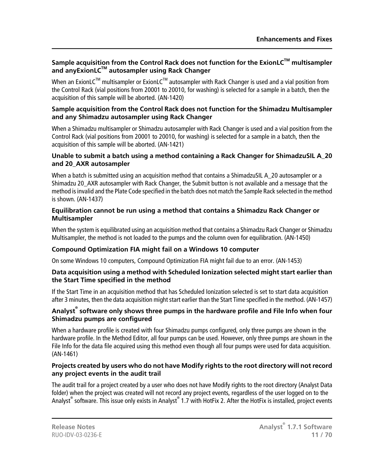#### **Sample acquisition from the Control Rack does not function for the ExionLCTM multisampler and anyExionLCTM autosampler using Rack Changer**

When an ExionLC™ multisampler or ExionLC™ autosampler with Rack Changer is used and a vial position from the Control Rack (vial positions from 20001 to 20010, for washing) is selected for a sample in a batch, then the acquisition of this sample will be aborted. (AN-1420)

#### **Sample acquisition from the Control Rack does not function for the Shimadzu Multisampler and any Shimadzu autosampler using Rack Changer**

When a Shimadzu multisampler or Shimadzu autosampler with Rack Changer is used and a vial position from the Control Rack (vial positions from 20001 to 20010, for washing) is selected for a sample in a batch, then the acquisition of this sample will be aborted. (AN-1421)

#### **Unable to submit a batch using a method containing a Rack Changer for ShimadzuSIL A\_20 and 20\_AXR autosampler**

When a batch is submitted using an acquisition method that contains a ShimadzuSIL A\_20 autosampler or a Shimadzu 20\_AXR autosampler with Rack Changer, the Submit button is not available and a message that the method is invalid and the Plate Code specified in the batch does not match the Sample Rack selected in the method is shown. (AN-1437)

#### **Equilibration cannot be run using a method that contains a Shimadzu Rack Changer or Multisampler**

When the system is equilibrated using an acquisition method that contains a Shimadzu Rack Changer or Shimadzu Multisampler, the method is not loaded to the pumps and the column oven for equilibration. (AN-1450)

#### **Compound Optimization FIA might fail on a Windows 10 computer**

On some Windows 10 computers, Compound Optimization FIA might fail due to an error. (AN-1453)

#### **Data acquisition using a method with Scheduled Ionization selected might start earlier than the Start Time specified in the method**

If the Start Time in an acquisition method that has Scheduled Ionization selected is set to start data acquisition after 3 minutes, then the data acquisition might start earlier than the Start Time specified in the method. (AN-1457)

#### **Analyst® software only shows three pumps in the hardware profile and File Info when four Shimadzu pumps are configured**

When a hardware profile is created with four Shimadzu pumps configured, only three pumps are shown in the hardware profile. In the Method Editor, all four pumps can be used. However, only three pumps are shown in the File Info for the data file acquired using this method even though all four pumps were used for data acquisition. (AN-1461)

#### **Projects created by users who do not have Modify rights to the root directory will not record any project events in the audit trail**

The audit trail for a project created by a user who does not have Modify rights to the root directory (Analyst Data folder) when the project was created will not record any project events, regardless of the user logged on to the Analyst® software. This issue only exists in Analyst® 1.7 with HotFix 2. After the HotFix is installed, project events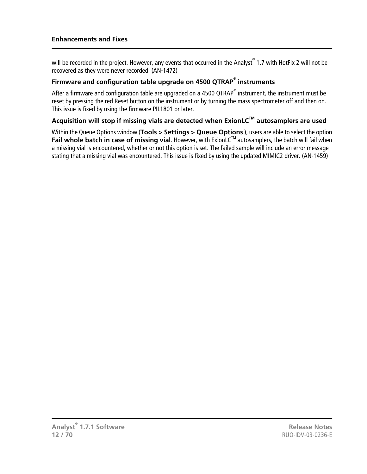will be recorded in the project. However, any events that occurred in the Analyst® 1.7 with HotFix 2 will not be recovered as they were never recorded. (AN-1472)

#### **Firmware and configuration table upgrade on 4500 QTRAP® instruments**

After a firmware and configuration table are upgraded on a 4500 QTRAP® instrument, the instrument must be reset by pressing the red Reset button on the instrument or by turning the mass spectrometer off and then on. This issue is fixed by using the firmware PIL1801 or later.

#### **Acquisition will stop if missing vials are detected when ExionLCTM autosamplers are used**

Within the Queue Options window (**Tools > Settings > Queue Options** ), users are able to select the option **Fail whole batch in case of missing vial**. However, with ExionLCTM autosamplers, the batch will fail when a missing vial is encountered, whether or not this option is set. The failed sample will include an error message stating that a missing vial was encountered. This issue is fixed by using the updated MIMIC2 driver. (AN-1459)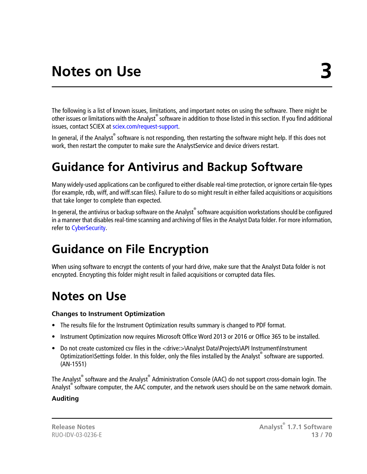<span id="page-12-0"></span>The following is a list of known issues, limitations, and important notes on using the software. There might be other issues or limitations with the Analyst® software in addition to those listed in this section. If you find additional issues, contact SCIEX at [sciex.com/request-support](https://sciex.com/request-support).

<span id="page-12-1"></span>In general, if the Analyst® software is not responding, then restarting the software might help. If this does not work, then restart the computer to make sure the AnalystService and device drivers restart.

## **Guidance for Antivirus and Backup Software**

Many widely-used applications can be configured to either disable real-time protection, or ignore certain file-types (for example, rdb, wiff, and wiff.scan files). Failure to do so might result in either failed acquisitions or acquisitions that take longer to complete than expected.

<span id="page-12-2"></span>In general, the antivirus or backup software on the Analyst® software acquisition workstations should be configured in a manner that disables real-time scanning and archiving of files in the Analyst Data folder. For more information, refer to [CyberSecurity](#page-68-4).

## **Guidance on File Encryption**

<span id="page-12-3"></span>When using software to encrypt the contents of your hard drive, make sure that the Analyst Data folder is not encrypted. Encrypting this folder might result in failed acquisitions or corrupted data files.

### **Notes on Use**

#### **Changes to Instrument Optimization**

- The results file for the Instrument Optimization results summary is changed to PDF format.
- Instrument Optimization now requires Microsoft Office Word 2013 or 2016 or Office 365 to be installed.
- Do not create customized csv files in the <drive:>\Analyst Data\Projects\API Instrument\Instrument Optimization\Settings folder. In this folder, only the files installed by the Analyst® software are supported. (AN-1551)

The Analyst<sup>®</sup> software and the Analyst® Administration Console (AAC) do not support cross-domain login. The Analyst<sup>®</sup> software computer, the AAC computer, and the network users should be on the same network domain.

#### **Auditing**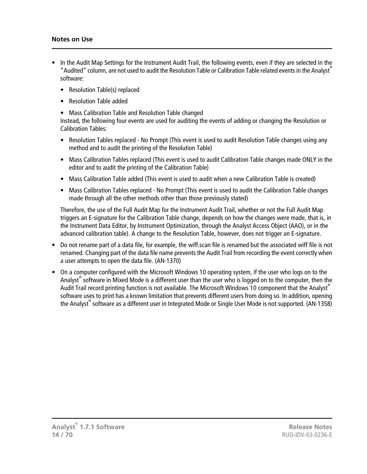- In the Audit Map Settings for the Instrument Audit Trail, the following events, even if they are selected in the "Audited" column, are not used to audit the Resolution Table or Calibration Table related events in the Analyst® software:
	- Resolution Table(s) replaced
	- Resolution Table added
	- Mass Calibration Table and Resolution Table changed

Instead, the following four events are used for auditing the events of adding or changing the Resolution or Calibration Tables:

- Resolution Tables replaced No Prompt (This event is used to audit Resolution Table changes using any method and to audit the printing of the Resolution Table)
- Mass Calibration Tables replaced (This event is used to audit Calibration Table changes made ONLY in the editor and to audit the printing of the Calibration Table)
- Mass Calibration Table added (This event is used to audit when a new Calibration Table is created)
- Mass Calibration Tables replaced No Prompt (This event is used to audit the Calibration Table changes made through all the other methods other than those previously stated)

Therefore, the use of the Full Audit Map for the Instrument Audit Trail, whether or not the Full Audit Map triggers an E-signature for the Calibration Table change, depends on how the changes were made, that is, in the Instrument Data Editor, by Instrument Optimization, through the Analyst Access Object (AAO), or in the advanced calibration table). A change to the Resolution Table, however, does not trigger an E-signature.

- Do not rename part of a data file, for example, the wiff.scan file is renamed but the associated wiff file is not renamed. Changing part of the data file name prevents the Audit Trail from recording the event correctly when a user attempts to open the data file. (AN-1370)
- On a computer configured with the Microsoft Windows 10 operating system, if the user who logs on to the Analyst® software in Mixed Mode is a different user than the user who is logged on to the computer, then the Audit Trail record printing function is not available. The Microsoft Windows 10 component that the Analyst<sup>®</sup> software uses to print has a known limitation that prevents different users from doing so. In addition, opening the Analyst® software as a different user in Integrated Mode or Single User Mode is not supported. (AN-1358)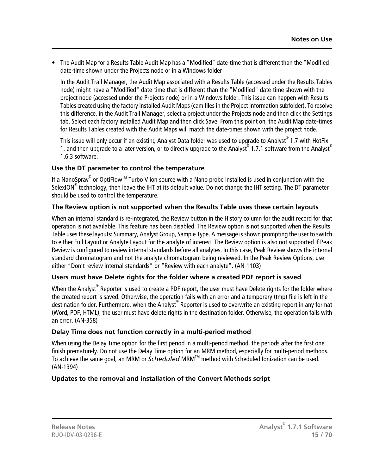• The Audit Map for a Results Table Audit Map has a "Modified" date-time that is different than the "Modified" date-time shown under the Projects node or in a Windows folder

In the Audit Trail Manager, the Audit Map associated with a Results Table (accessed under the Results Tables node) might have a "Modified" date-time that is different than the "Modified" date-time shown with the project node (accessed under the Projects node) or in a Windows folder. This issue can happen with Results Tables created using the factory installed Audit Maps (cam files in the Project Information subfolder). To resolve this difference, in the Audit Trail Manager, select a project under the Projects node and then click the Settings tab. Select each factory installed Audit Map and then click Save. From this point on, the Audit Map date-times for Results Tables created with the Audit Maps will match the date-times shown with the project node.

This issue will only occur if an existing Analyst Data folder was used to upgrade to Analyst® 1.7 with HotFix 1, and then upgrade to a later version, or to directly upgrade to the Analyst® 1.7.1 software from the Analyst® 1.6.3 software.

#### **Use the DT parameter to control the temperature**

If a NanoSpray® or OptiFlow<sup>™</sup> Turbo V ion source with a Nano probe installed is used in conjunction with the SelexION<sup>®</sup> technology, then leave the IHT at its default value. Do not change the IHT setting. The DT parameter should be used to control the temperature.

#### **The Review option is not supported when the Results Table uses these certain layouts**

When an internal standard is re-integrated, the Review button in the History column for the audit record for that operation is not available. This feature has been disabled. The Review option is not supported when the Results Table uses these layouts: Summary, Analyst Group, Sample Type. A message is shown prompting the user to switch to either Full Layout or Analyte Layout for the analyte of interest. The Review option is also not supported if Peak Review is configured to review internal standards before all analytes. In this case, Peak Review shows the internal standard chromatogram and not the analyte chromatogram being reviewed. In the Peak Review Options, use either "Don't review internal standards" or "Review with each analyte". (AN-1103)

#### **Users must have Delete rights for the folder where a created PDF report is saved**

When the Analyst® Reporter is used to create a PDF report, the user must have Delete rights for the folder where the created report is saved. Otherwise, the operation fails with an error and a temporary (tmp) file is left in the destination folder. Furthermore, when the Analyst® Reporter is used to overwrite an existing report in any format (Word, PDF, HTML), the user must have delete rights in the destination folder. Otherwise, the operation fails with an error. (AN-358)

#### **Delay Time does not function correctly in a multi-period method**

When using the Delay Time option for the first period in a multi-period method, the periods after the first one finish prematurely. Do not use the Delay Time option for an MRM method, especially for multi-period methods. To achieve the same goal, an MRM or *Scheduled* MRMTM method with Scheduled Ionization can be used. (AN-1394)

#### **Updates to the removal and installation of the Convert Methods script**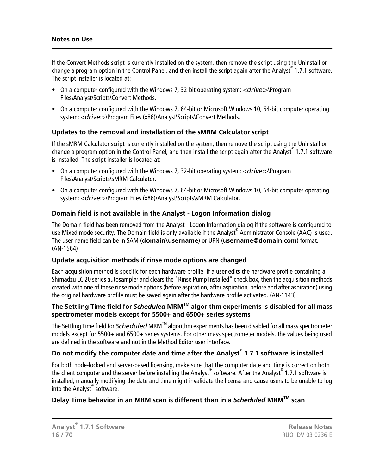#### **Notes on Use**

If the Convert Methods script is currently installed on the system, then remove the script using the Uninstall or change a program option in the Control Panel, and then install the script again after the Analyst® 1.7.1 software. The script installer is located at:

- On a computer configured with the Windows 7, 32-bit operating system: <*drive*:>\Program Files\Analyst\Scripts\Convert Methods.
- On a computer configured with the Windows 7, 64-bit or Microsoft Windows 10, 64-bit computer operating system: <*drive*:>\Program Files (x86)\Analyst\Scripts\Convert Methods.

#### **Updates to the removal and installation of the sMRM Calculator script**

If the sMRM Calculator script is currently installed on the system, then remove the script using the Uninstall or change a program option in the Control Panel, and then install the script again after the Analyst® 1.7.1 software is installed. The script installer is located at:

- On a computer configured with the Windows 7, 32-bit operating system: <*drive*:>\Program Files\Analyst\Scripts\sMRM Calculator.
- On a computer configured with the Windows 7, 64-bit or Microsoft Windows 10, 64-bit computer operating system: <*drive*:>\Program Files (x86)\Analyst\Scripts\sMRM Calculator.

#### **Domain field is not available in the Analyst - Logon Information dialog**

The Domain field has been removed from the Analyst - Logon Information dialog if the software is configured to use Mixed mode security. The Domain field is only available if the Analyst® Administrator Console (AAC) is used. The user name field can be in SAM (**domain\username**) or UPN (**username@domain.com**) format. (AN-1564)

#### **Update acquisition methods if rinse mode options are changed**

Each acquisition method is specific for each hardware profile. If a user edits the hardware profile containing a Shimadzu LC 20 series autosampler and clears the "Rinse Pump Installed" check box, then the acquisition methods created with one of these rinse mode options (before aspiration, after aspiration, before and after aspiration) using the original hardware profile must be saved again after the hardware profile activated. (AN-1143)

#### **The Settling Time field for** *Scheduled* **MRMTM algorithm experiments is disabled for all mass spectrometer models except for 5500+ and 6500+ series systems**

The Settling Time field for *Scheduled* MRMTM algorithm experiments has been disabled for all mass spectrometer models except for 5500+ and 6500+ series systems. For other mass spectrometer models, the values being used are defined in the software and not in the Method Editor user interface.

#### **Do not modify the computer date and time after the Analyst® 1.7.1 software is installed**

For both node-locked and server-based licensing, make sure that the computer date and time is correct on both the client computer and the server before installing the Analyst® software. After the Analyst® 1.7.1 software is installed, manually modifying the date and time might invalidate the license and cause users to be unable to log into the Analyst<sup>®</sup> software.

#### **Delay Time behavior in an MRM scan is different than in a** *Scheduled* **MRMTM scan**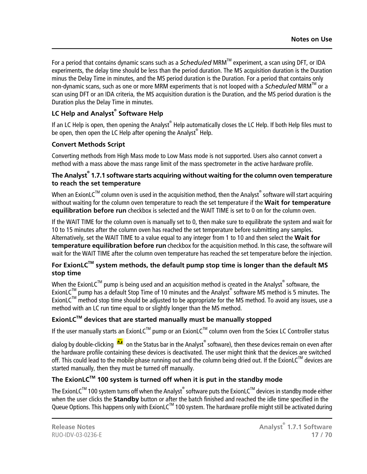For a period that contains dynamic scans such as a *Scheduled* MRMTM experiment, a scan using DFT, or IDA experiments, the delay time should be less than the period duration. The MS acquisition duration is the Duration minus the Delay Time in minutes, and the MS period duration is the Duration. For a period that contains only non-dynamic scans, such as one or more MRM experiments that is not looped with a *Scheduled* MRMTM or a scan using DFT or an IDA criteria, the MS acquisition duration is the Duration, and the MS period duration is the Duration plus the Delay Time in minutes.

#### **LC Help and Analyst® Software Help**

If an LC Help is open, then opening the Analyst® Help automatically closes the LC Help. If both Help files must to be open, then open the LC Help after opening the Analyst® Help.

#### **Convert Methods Script**

Converting methods from High Mass mode to Low Mass mode is not supported. Users also cannot convert a method with a mass above the mass range limit of the mass spectrometer in the active hardware profile.

#### **The Analyst® 1.7.1 software starts acquiring without waiting for the column oven temperature to reach the set temperature**

When an ExionLC $^{\text{\tiny{\textsf{TM}}}}$  column oven is used in the acquisition method, then the Analyst $^{\text{\tiny{\textsf{C}}}}$  software will start acquiring without waiting for the column oven temperature to reach the set temperature if the **Wait for temperature equilibration before run** checkbox is selected and the WAIT TIME is set to 0 on for the column oven.

If the WAIT TIME for the column oven is manually set to 0, then make sure to equilibrate the system and wait for 10 to 15 minutes after the column oven has reached the set temperature before submitting any samples. Alternatively, set the WAIT TIME to a value equal to any integer from 1 to 10 and then select the **Wait for temperature equilibration before run** checkbox for the acquisition method. In this case, the software will wait for the WAIT TIME after the column oven temperature has reached the set temperature before the injection.

#### **For ExionLCTM system methods, the default pump stop time is longer than the default MS stop time**

When the ExionLC<sup>TM</sup> pump is being used and an acquisition method is created in the Analyst<sup>®</sup> software, the ExionLC™ pump has a default Stop Time of 10 minutes and the Analyst® software MS method is 5 minutes. The ExionLC<sup>TM</sup> method stop time should be adjusted to be appropriate for the MS method. To avoid any issues, use a method with an LC run time equal to or slightly longer than the MS method.

#### **ExionLCTM devices that are started manually must be manually stopped**

If the user manually starts an ExionLC<sup>TM</sup> pump or an ExionLC<sup>TM</sup> column oven from the Sciex LC Controller status

dialog by double-clicking <sup>ne th</sup>on the Status bar in the Analyst<sup>®</sup> software), then these devices remain on even after the hardware profile containing these devices is deactivated. The user might think that the devices are switched off. This could lead to the mobile phase running out and the column being dried out. If the ExionLC<sup>TM</sup> devices are started manually, then they must be turned off manually.

#### **The ExionLCTM 100 system is turned off when it is put in the standby mode**

The ExionLC<sup>TM</sup> 100 system turns off when the Analyst® software puts the ExionLC<sup>TM</sup> devices in standby mode either when the user clicks the **Standby** button or after the batch finished and reached the idle time specified in the Queue Options. This happens only with ExionLC™ 100 system. The hardware profile might still be activated during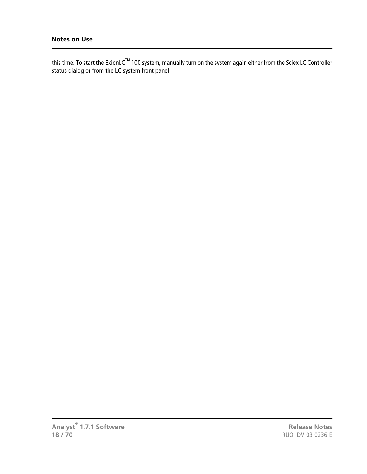this time. To start the ExionLC $^{\tau_{\sf M}}$ 100 system, manually turn on the system again either from the Sciex LC Controller status dialog or from the LC system front panel.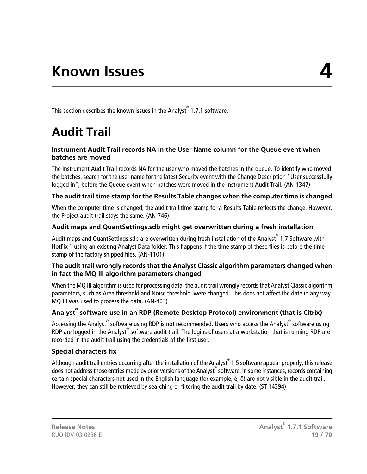<span id="page-18-1"></span><span id="page-18-0"></span>This section describes the known issues in the Analyst® 1.7.1 software.

# **Audit Trail**

#### **Instrument Audit Trail records NA in the User Name column for the Queue event when batches are moved**

The Instrument Audit Trail records NA for the user who moved the batches in the queue. To identify who moved the batches, search for the user name for the latest Security event with the Change Description "User successfully logged in", before the Queue event when batches were moved in the Instrument Audit Trail. (AN-1347)

#### **The audit trail time stamp for the Results Table changes when the computer time is changed**

When the computer time is changed, the audit trail time stamp for a Results Table reflects the change. However, the Project audit trail stays the same. (AN-746)

#### **Audit maps and QuantSettings.sdb might get overwritten during a fresh installation**

Audit maps and QuantSettings.sdb are overwritten during fresh installation of the Analyst® 1.7 Software with HotFix 1 using an existing Analyst Data folder. This happens if the time stamp of these files is before the time stamp of the factory shipped files. (AN-1101)

#### **The audit trail wrongly records that the Analyst Classic algorithm parameters changed when in fact the MQ III algorithm parameters changed**

When the MQ III algorithm is used for processing data, the audit trail wrongly records that Analyst Classic algorithm parameters, such as Area threshold and Noise threshold, were changed. This does not affect the data in any way. MQ III was used to process the data. (AN-403)

#### **Analyst® software use in an RDP (Remote Desktop Protocol) environment (that is Citrix)**

Accessing the Analyst<sup>®</sup> software using RDP is not recommended. Users who access the Analyst<sup>®</sup> software using RDP are logged in the Analyst® software audit trail. The logins of users at a workstation that is running RDP are recorded in the audit trail using the credentials of the first user.

#### **Special characters fix**

Although audit trail entries occurring after the installation of the Analyst® 1.5 software appear properly, this release does not address those entries made by prior versions of the Analyst® software. In some instances, records containing certain special characters not used in the English language (for example, é, ö) are not visible in the audit trail. However, they can still be retrieved by searching or filtering the audit trail by date. (ST 14394)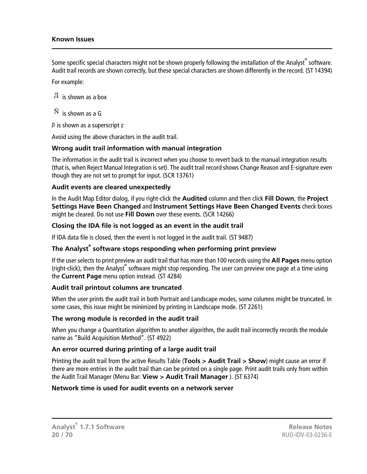#### **Known Issues**

Some specific special characters might not be shown properly following the installation of the Analyst $\degree$  software. Audit trail records are shown correctly, but these special characters are shown differently in the record. (ST 14394)

For example:

```
\overline{A} is shown as a box
```

```
\tilde{N} is shown as a G
```
 $\beta$  is shown as a superscript z

Avoid using the above characters in the audit trail.

#### **Wrong audit trail information with manual integration**

The information in the audit trail is incorrect when you choose to revert back to the manual integration results (that is, when Reject Manual Integration is set). The audit trail record shows Change Reason and E-signature even though they are not set to prompt for input. (SCR 13761)

#### **Audit events are cleared unexpectedly**

In the Audit Map Editor dialog, if you right-click the **Audited** column and then click **Fill Down**, the **Project Settings Have Been Changed** and **Instrument Settings Have Been Changed Events** check boxes might be cleared. Do not use **Fill Down** over these events. (SCR 14266)

#### **Closing the IDA file is not logged as an event in the audit trail**

If IDA data file is closed, then the event is not logged in the audit trail. (ST 9487)

#### **The Analyst® software stops responding when performing print preview**

If the user selects to print preview an audit trail that has more than 100 records using the **All Pages** menu option (right-click), then the Analyst® software might stop responding. The user can preview one page at a time using the **Current Page** menu option instead. (ST 4284)

#### **Audit trail printout columns are truncated**

When the user prints the audit trail in both Portrait and Landscape modes, some columns might be truncated. In some cases, this issue might be minimized by printing in Landscape mode. (ST 2261)

#### **The wrong module is recorded in the audit trail**

When you change a Quantitation algorithm to another algorithm, the audit trail incorrectly records the module name as "Build Acquisition Method". (ST 4922)

#### **An error ocurred during printing of a large audit trail**

Printing the audit trail from the active Results Table (**Tools > Audit Trail > Show**) might cause an error if there are more entries in the audit trail than can be printed on a single page. Print audit trails only from within the Audit Trail Manager (Menu Bar: **View > Audit Trail Manager** ). (ST 6374)

#### **Network time is used for audit events on a network server**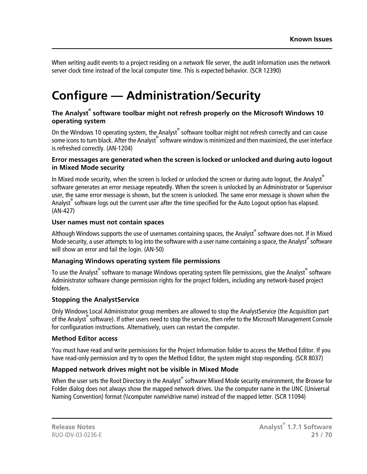When writing audit events to a project residing on a network file server, the audit information uses the network server clock time instead of the local computer time. This is expected behavior. (SCR 12390)

## <span id="page-20-0"></span>**Configure — Administration/Security**

#### **The Analyst® software toolbar might not refresh properly on the Microsoft Windows 10 operating system**

On the Windows 10 operating system, the Analyst® software toolbar might not refresh correctly and can cause some icons to turn black. After the Analyst® software window is minimized and then maximized, the user interface is refreshed correctly. (AN-1204)

#### **Error messages are generated when the screen is locked or unlocked and during auto logout in Mixed Mode security**

In Mixed mode security, when the screen is locked or unlocked the screen or during auto logout, the Analyst® software generates an error message repeatedly. When the screen is unlocked by an Administrator or Supervisor user, the same error message is shown, but the screen is unlocked. The same error message is shown when the Analyst® software logs out the current user after the time specified for the Auto Logout option has elapsed. (AN-427)

#### **User names must not contain spaces**

Although Windows supports the use of usernames containing spaces, the Analyst<sup>®</sup> software does not. If in Mixed Mode security, a user attempts to log into the software with a user name containing a space, the Analyst® software will show an error and fail the login. (AN-50)

#### **Managing Windows operating system file permissions**

To use the Analyst $^\circ$  software to manage Windows operating system file permissions, give the Analyst $^\circ$  software Administrator software change permission rights for the project folders, including any network-based project folders.

#### **Stopping the AnalystService**

Only Windows Local Administrator group members are allowed to stop the AnalystService (the Acquisition part of the Analyst® software). If other users need to stop the service, then refer to the Microsoft Management Console for configuration instructions. Alternatively, users can restart the computer.

#### **Method Editor access**

You must have read and write permissions for the Project Information folder to access the Method Editor. If you have read-only permission and try to open the Method Editor, the system might stop responding. (SCR 8037)

#### **Mapped network drives might not be visible in Mixed Mode**

When the user sets the Root Directory in the Analyst $^\circ$  software Mixed Mode security environment, the Browse for Folder dialog does not always show the mapped network drives. Use the computer name in the UNC (Universal Naming Convention) format (\\computer name\drive name) instead of the mapped letter. (SCR 11094)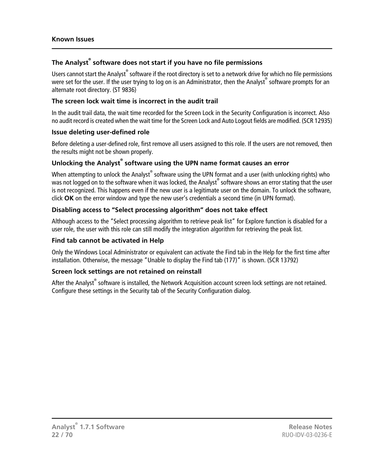#### **The Analyst® software does not start if you have no file permissions**

Users cannot start the Analyst® software if the root directory is set to a network drive for which no file permissions were set for the user. If the user trying to log on is an Administrator, then the Analyst® software prompts for an alternate root directory. (ST 9836)

#### **The screen lock wait time is incorrect in the audit trail**

In the audit trail data, the wait time recorded for the Screen Lock in the Security Configuration is incorrect. Also no audit record is created when the wait time for the Screen Lock and Auto Logout fields are modified. (SCR 12935)

#### **Issue deleting user-defined role**

Before deleting a user-defined role, first remove all users assigned to this role. If the users are not removed, then the results might not be shown properly.

#### **Unlocking the Analyst® software using the UPN name format causes an error**

When attempting to unlock the Analyst® software using the UPN format and a user (with unlocking rights) who was not logged on to the software when it was locked, the Analyst $^{\circ}$  software shows an error stating that the user is not recognized. This happens even if the new user is a legitimate user on the domain. To unlock the software, click **OK** on the error window and type the new user's credentials a second time (in UPN format).

#### **Disabling access to "Select processing algorithm" does not take effect**

Although access to the "Select processing algorithm to retrieve peak list" for Explore function is disabled for a user role, the user with this role can still modify the integration algorithm for retrieving the peak list.

#### **Find tab cannot be activated in Help**

Only the Windows Local Administrator or equivalent can activate the Find tab in the Help for the first time after installation. Otherwise, the message "Unable to display the Find tab (177)" is shown. (SCR 13792)

#### **Screen lock settings are not retained on reinstall**

After the Analyst® software is installed, the Network Acquisition account screen lock settings are not retained. Configure these settings in the Security tab of the Security Configuration dialog.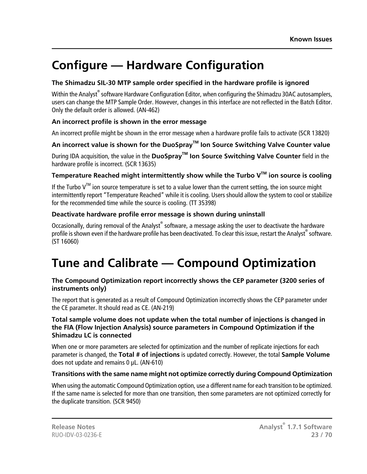## <span id="page-22-0"></span>**Configure — Hardware Configuration**

#### **The Shimadzu SIL-30 MTP sample order specified in the hardware profile is ignored**

Within the Analyst $^\circ$  software Hardware Configuration Editor, when configuring the Shimadzu 30AC autosamplers, users can change the MTP Sample Order. However, changes in this interface are not reflected in the Batch Editor. Only the default order is allowed. (AN-462)

#### **An incorrect profile is shown in the error message**

An incorrect profile might be shown in the error message when a hardware profile fails to activate (SCR 13820)

#### **An incorrect value is shown for the DuoSprayTM Ion Source Switching Valve Counter value**

During IDA acquisition, the value in the **DuoSprayTM Ion Source Switching Valve Counter** field in the hardware profile is incorrect. (SCR 13635)

#### **Temperature Reached might intermittently show while the Turbo VTM ion source is cooling**

If the Turbo  $V^{M}$  ion source temperature is set to a value lower than the current setting, the ion source might intermittently report "Temperature Reached" while it is cooling. Users should allow the system to cool or stabilize for the recommended time while the source is cooling. (TT 35398)

#### **Deactivate hardware profile error message is shown during uninstall**

<span id="page-22-1"></span>Occasionally, during removal of the Analyst® software, a message asking the user to deactivate the hardware profile is shown even if the hardware profile has been deactivated. To clear this issue, restart the Analyst®software. (ST 16060)

## **Tune and Calibrate — Compound Optimization**

#### **The Compound Optimization report incorrectly shows the CEP parameter (3200 series of instruments only)**

The report that is generated as a result of Compound Optimization incorrectly shows the CEP parameter under the CE parameter. It should read as CE. (AN-219)

#### **Total sample volume does not update when the total number of injections is changed in the FIA (Flow Injection Analysis) source parameters in Compound Optimization if the Shimadzu LC is connected**

When one or more parameters are selected for optimization and the number of replicate injections for each parameter is changed, the **Total # of injections** is updated correctly. However, the total **Sample Volume** does not update and remains 0 μL. (AN-610)

#### **Transitions with the same name might not optimize correctly during Compound Optimization**

When using the automatic Compound Optimization option, use a different name for each transition to be optimized. If the same name is selected for more than one transition, then some parameters are not optimized correctly for the duplicate transition. (SCR 9450)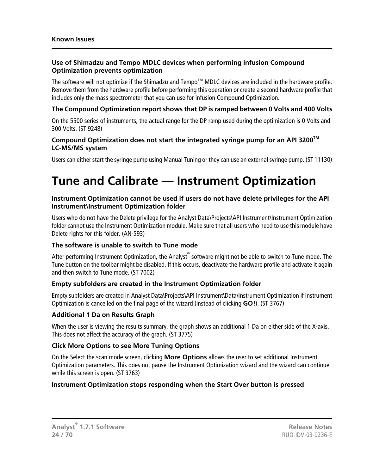#### **Use of Shimadzu and Tempo MDLC devices when performing infusion Compound Optimization prevents optimization**

The software will not optimize if the Shimadzu and Tempo™ MDLC devices are included in the hardware profile. Remove them from the hardware profile before performing this operation or create a second hardware profile that includes only the mass spectrometer that you can use for infusion Compound Optimization.

#### **The Compound Optimization report shows that DP is ramped between 0 Volts and 400 Volts**

On the 5500 series of instruments, the actual range for the DP ramp used during the optimization is 0 Volts and 300 Volts. (ST 9248)

#### **Compound Optimization does not start the integrated syringe pump for an API 3200TM LC-MS/MS system**

<span id="page-23-0"></span>Users can either start the syringe pump using Manual Tuning or they can use an external syringe pump. (ST 11130)

## **Tune and Calibrate — Instrument Optimization**

#### **Instrument Optimization cannot be used if users do not have delete privileges for the API Instrument\Instrument Optimization folder**

Users who do not have the Delete privilege for the Analyst Data\Projects\API Instrument\Instrument Optimization folder cannot use the Instrument Optimization module. Make sure that all users who need to use this module have Delete rights for this folder. (AN-593)

#### **The software is unable to switch to Tune mode**

After performing Instrument Optimization, the Analyst<sup>®</sup> software might not be able to switch to Tune mode. The Tune button on the toolbar might be disabled. If this occurs, deactivate the hardware profile and activate it again and then switch to Tune mode. (ST 7002)

#### **Empty subfolders are created in the Instrument Optimization folder**

Empty subfolders are created in Analyst Data\Projects\API Instrument\Data\Instrument Optimization if Instrument Optimization is cancelled on the final page of the wizard (instead of clicking **GO!**). (ST 3767)

#### **Additional 1 Da on Results Graph**

When the user is viewing the results summary, the graph shows an additional 1 Da on either side of the X-axis. This does not affect the accuracy of the graph. (ST 3775)

#### **Click More Options to see More Tuning Options**

On the Select the scan mode screen, clicking **More Options** allows the user to set additional Instrument Optimization parameters. This does not pause the Instrument Optimization wizard and the wizard can continue while this screen is open. (ST 3763)

#### **Instrument Optimization stops responding when the Start Over button is pressed**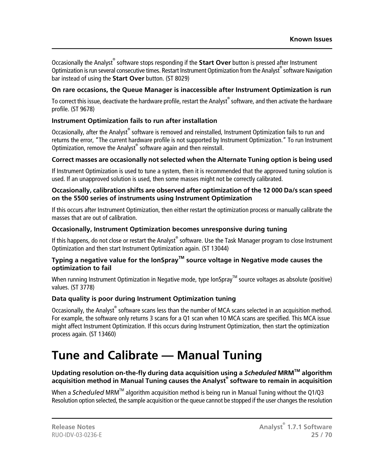Occasionally the Analyst<sup>®</sup> software stops responding if the **Start Over** button is pressed after Instrument Optimization is run several consecutive times. Restart Instrument Optimization from the Analyst® software Navigation bar instead of using the **Start Over** button. (ST 8029)

#### **On rare occasions, the Queue Manager is inaccessible after Instrument Optimization is run**

To correct this issue, deactivate the hardware profile, restart the Analyst $^\circ$  software, and then activate the hardware profile. (ST 9678)

#### **Instrument Optimization fails to run after installation**

Occasionally, after the Analyst® software is removed and reinstalled, Instrument Optimization fails to run and returns the error, "The current hardware profile is not supported by Instrument Optimization." To run Instrument Optimization, remove the Analyst® software again and then reinstall.

#### **Correct masses are occasionally not selected when the Alternate Tuning option is being used**

If Instrument Optimization is used to tune a system, then it is recommended that the approved tuning solution is used. If an unapproved solution is used, then some masses might not be correctly calibrated.

#### **Occasionally, calibration shifts are observed after optimization of the 12 000 Da/s scan speed on the 5500 series of instruments using Instrument Optimization**

If this occurs after Instrument Optimization, then either restart the optimization process or manually calibrate the masses that are out of calibration.

#### **Occasionally, Instrument Optimization becomes unresponsive during tuning**

If this happens, do not close or restart the Analyst<sup>®</sup> software. Use the Task Manager program to close Instrument Optimization and then start Instrument Optimization again. (ST 13044)

#### **Typing a negative value for the IonSprayTM source voltage in Negative mode causes the optimization to fail**

When running Instrument Optimization in Negative mode, type IonSpray<sup>TM</sup> source voltages as absolute (positive) values. (ST 3778)

#### **Data quality is poor during Instrument Optimization tuning**

<span id="page-24-0"></span>Occasionally, the Analyst® software scans less than the number of MCA scans selected in an acquisition method. For example, the software only returns 3 scans for a Q1 scan when 10 MCA scans are specified. This MCA issue might affect Instrument Optimization. If this occurs during Instrument Optimization, then start the optimization process again. (ST 13460)

### **Tune and Calibrate — Manual Tuning**

#### **Updating resolution on-the-fly during data acquisition using a** *Scheduled* **MRMTM algorithm acquisition method in Manual Tuning causes the Analyst® software to remain in acquisition**

When a *Scheduled* MRM<sup>™</sup> algorithm acquisition method is being run in Manual Tuning without the Q1/Q3 Resolution option selected, the sample acquisition or the queue cannot be stopped if the user changes the resolution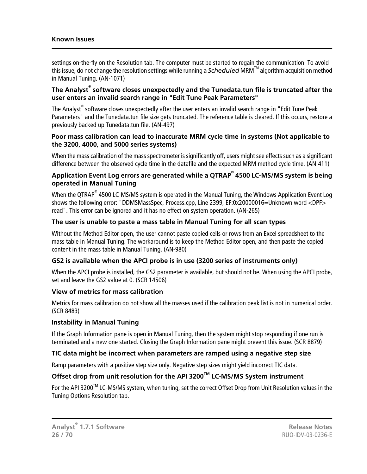#### **Known Issues**

settings on-the-fly on the Resolution tab. The computer must be started to regain the communication. To avoid this issue, do not change the resolution settings while running a *Scheduled* MRM<sup>™</sup> algorithm acquisition method in Manual Tuning. (AN-1071)

#### **The Analyst® software closes unexpectedly and the Tunedata.tun file is truncated after the user enters an invalid search range in "Edit Tune Peak Parameters"**

The Analyst® software closes unexpectedly after the user enters an invalid search range in "Edit Tune Peak Parameters" and the Tunedata.tun file size gets truncated. The reference table is cleared. If this occurs, restore a previously backed up Tunedata.tun file. (AN-497)

#### **Poor mass calibration can lead to inaccurate MRM cycle time in systems (Not applicable to the 3200, 4000, and 5000 series systems)**

When the mass calibration of the mass spectrometer is significantly off, users might see effects such as a significant difference between the observed cycle time in the datafile and the expected MRM method cycle time. (AN-411)

#### **Application Event Log errors are generated while a QTRAP® 4500 LC-MS/MS system is being operated in Manual Tuning**

When the QTRAP® 4500 LC-MS/MS system is operated in the Manual Tuning, the Windows Application Event Log shows the following error: "DDMSMassSpec, Process.cpp, Line 2399, EF:0x20000016=Unknown word <DPF> read". This error can be ignored and it has no effect on system operation. (AN-265)

#### **The user is unable to paste a mass table in Manual Tuning for all scan types**

Without the Method Editor open, the user cannot paste copied cells or rows from an Excel spreadsheet to the mass table in Manual Tuning. The workaround is to keep the Method Editor open, and then paste the copied content in the mass table in Manual Tuning. (AN-980)

#### **GS2 is available when the APCI probe is in use (3200 series of instruments only)**

When the APCI probe is installed, the GS2 parameter is available, but should not be. When using the APCI probe, set and leave the GS2 value at 0. (SCR 14506)

#### **View of metrics for mass calibration**

Metrics for mass calibration do not show all the masses used if the calibration peak list is not in numerical order. (SCR 8483)

#### **Instability in Manual Tuning**

If the Graph Information pane is open in Manual Tuning, then the system might stop responding if one run is terminated and a new one started. Closing the Graph Information pane might prevent this issue. (SCR 8879)

#### **TIC data might be incorrect when parameters are ramped using a negative step size**

Ramp parameters with a positive step size only. Negative step sizes might yield incorrect TIC data.

### **Offset drop from unit resolution for the API 3200TM LC-MS/MS System instrument**

For the API 3200™ LC-MS/MS system, when tuning, set the correct Offset Drop from Unit Resolution values in the Tuning Options Resolution tab.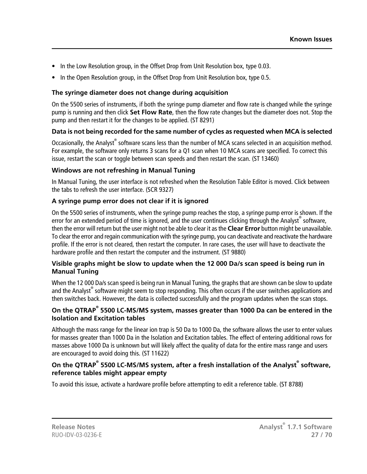- In the Low Resolution group, in the Offset Drop from Unit Resolution box, type 0.03.
- In the Open Resolution group, in the Offset Drop from Unit Resolution box, type 0.5.

#### **The syringe diameter does not change during acquisition**

On the 5500 series of instruments, if both the syringe pump diameter and flow rate is changed while the syringe pump is running and then click **Set Flow Rate**, then the flow rate changes but the diameter does not. Stop the pump and then restart it for the changes to be applied. (ST 8291)

#### **Data is not being recorded for the same number of cycles as requested when MCA is selected**

Occasionally, the Analyst® software scans less than the number of MCA scans selected in an acquisition method. For example, the software only returns 3 scans for a Q1 scan when 10 MCA scans are specified. To correct this issue, restart the scan or toggle between scan speeds and then restart the scan. (ST 13460)

#### **Windows are not refreshing in Manual Tuning**

In Manual Tuning, the user interface is not refreshed when the Resolution Table Editor is moved. Click between the tabs to refresh the user interface. (SCR 9327)

#### **A syringe pump error does not clear if it is ignored**

On the 5500 series of instruments, when the syringe pump reaches the stop, a syringe pump error is shown. If the error for an extended period of time is ignored, and the user continues clicking through the Analyst® software, then the error will return but the user might not be able to clear it as the **Clear Error** button might be unavailable. To clear the error and regain communication with the syringe pump, you can deactivate and reactivate the hardware profile. If the error is not cleared, then restart the computer. In rare cases, the user will have to deactivate the hardware profile and then restart the computer and the instrument. (ST 9880)

#### **Visible graphs might be slow to update when the 12 000 Da/s scan speed is being run in Manual Tuning**

When the 12 000 Da/s scan speed is being run in Manual Tuning, the graphs that are shown can be slow to update and the Analyst<sup>®</sup> software might seem to stop responding. This often occurs if the user switches applications and then switches back. However, the data is collected successfully and the program updates when the scan stops.

#### **On the QTRAP® 5500 LC-MS/MS system, masses greater than 1000 Da can be entered in the Isolation and Excitation tables**

Although the mass range for the linear ion trap is 50 Da to 1000 Da, the software allows the user to enter values for masses greater than 1000 Da in the Isolation and Excitation tables. The effect of entering additional rows for masses above 1000 Da is unknown but will likely affect the quality of data for the entire mass range and users are encouraged to avoid doing this. (ST 11622)

#### **On the QTRAP® 5500 LC-MS/MS system, after a fresh installation of the Analyst® software, reference tables might appear empty**

To avoid this issue, activate a hardware profile before attempting to edit a reference table. (ST 8788)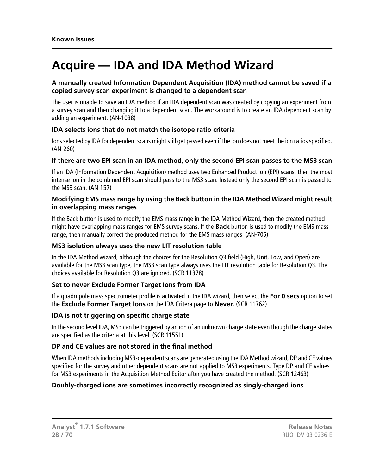### <span id="page-27-0"></span>**Acquire — IDA and IDA Method Wizard**

#### **A manually created Information Dependent Acquisition (IDA) method cannot be saved if a copied survey scan experiment is changed to a dependent scan**

The user is unable to save an IDA method if an IDA dependent scan was created by copying an experiment from a survey scan and then changing it to a dependent scan. The workaround is to create an IDA dependent scan by adding an experiment. (AN-1038)

#### **IDA selects ions that do not match the isotope ratio criteria**

Ions selected by IDA for dependent scans might still get passed even if the ion does not meet the ion ratios specified. (AN-260)

#### **If there are two EPI scan in an IDA method, only the second EPI scan passes to the MS3 scan**

If an IDA (Information Dependent Acquisition) method uses two Enhanced Product Ion (EPI) scans, then the most intense ion in the combined EPI scan should pass to the MS3 scan. Instead only the second EPI scan is passed to the MS3 scan. (AN-157)

#### **Modifying EMS mass range by using the Back button in the IDA Method Wizard might result in overlapping mass ranges**

If the Back button is used to modify the EMS mass range in the IDA Method Wizard, then the created method might have overlapping mass ranges for EMS survey scans. If the **Back** button is used to modify the EMS mass range, then manually correct the produced method for the EMS mass ranges. (AN-705)

#### **MS3 isolation always uses the new LIT resolution table**

In the IDA Method wizard, although the choices for the Resolution Q3 field (High, Unit, Low, and Open) are available for the MS3 scan type, the MS3 scan type always uses the LIT resolution table for Resolution Q3. The choices available for Resolution Q3 are ignored. (SCR 11378)

#### **Set to never Exclude Former Target Ions from IDA**

If a quadrupole mass spectrometer profile is activated in the IDA wizard, then select the **For 0 secs** option to set the **Exclude Former Target Ions** on the IDA Critera page to **Never**. (SCR 11762)

#### **IDA is not triggering on specific charge state**

In the second level IDA, MS3 can be triggered by an ion of an unknown charge state even though the charge states are specified as the criteria at this level. (SCR 11551)

#### **DP and CE values are not stored in the final method**

When IDA methods including MS3-dependent scans are generated using the IDA Method wizard, DP and CE values specified for the survey and other dependent scans are not applied to MS3 experiments. Type DP and CE values for MS3 experiments in the Acquisition Method Editor after you have created the method. (SCR 12463)

#### **Doubly-charged ions are sometimes incorrectly recognized as singly-charged ions**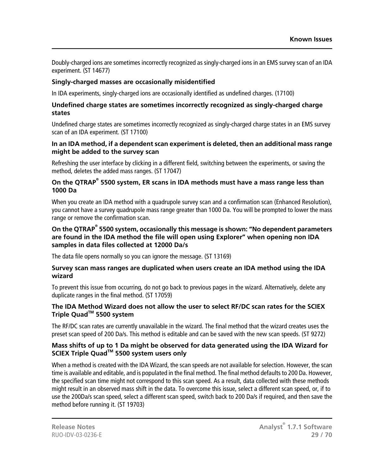Doubly-charged ions are sometimes incorrectly recognized as singly-charged ions in an EMS survey scan of an IDA experiment. (ST 14677)

#### **Singly-charged masses are occasionally misidentified**

In IDA experiments, singly-charged ions are occasionally identified as undefined charges. (17100)

#### **Undefined charge states are sometimes incorrectly recognized as singly-charged charge states**

Undefined charge states are sometimes incorrectly recognized as singly-charged charge states in an EMS survey scan of an IDA experiment. (ST 17100)

#### **In an IDA method, if a dependent scan experiment is deleted, then an additional mass range might be added to the survey scan**

Refreshing the user interface by clicking in a different field, switching between the experiments, or saving the method, deletes the added mass ranges. (ST 17047)

#### **On the QTRAP® 5500 system, ER scans in IDA methods must have a mass range less than 1000 Da**

When you create an IDA method with a quadrupole survey scan and a confirmation scan (Enhanced Resolution), you cannot have a survey quadrupole mass range greater than 1000 Da. You will be prompted to lower the mass range or remove the confirmation scan.

#### **On the QTRAP® 5500 system, occasionally this message is shown: "No dependent parameters are found in the IDA method the file will open using Explorer" when opening non IDA samples in data files collected at 12000 Da/s**

The data file opens normally so you can ignore the message. (ST 13169)

#### **Survey scan mass ranges are duplicated when users create an IDA method using the IDA wizard**

To prevent this issue from occurring, do not go back to previous pages in the wizard. Alternatively, delete any duplicate ranges in the final method. (ST 17059)

#### **The IDA Method Wizard does not allow the user to select RF/DC scan rates for the SCIEX Triple QuadTM 5500 system**

The RF/DC scan rates are currently unavailable in the wizard. The final method that the wizard creates uses the preset scan speed of 200 Da/s. This method is editable and can be saved with the new scan speeds. (ST 9272)

#### **Mass shifts of up to 1 Da might be observed for data generated using the IDA Wizard for SCIEX Triple QuadTM 5500 system users only**

When a method is created with the IDA Wizard, the scan speeds are not available for selection. However, the scan time is available and editable, and is populated in the final method. The final method defaults to 200 Da. However, the specified scan time might not correspond to this scan speed. As a result, data collected with these methods might result in an observed mass shift in the data. To overcome this issue, select a different scan speed, or, if to use the 200Da/s scan speed, select a different scan speed, switch back to 200 Da/s if required, and then save the method before running it. (ST 19703)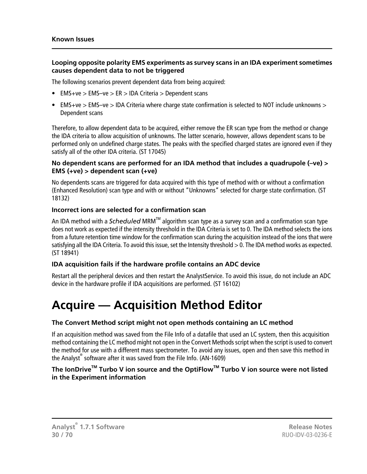#### **Looping opposite polarity EMS experiments as survey scans in an IDA experiment sometimes causes dependent data to not be triggered**

The following scenarios prevent dependent data from being acquired:

- EMS+ve  $>$  EMS-ve  $>$  ER  $>$  IDA Criteria  $>$  Dependent scans
- EMS+ve > EMS–ve > IDA Criteria where charge state confirmation is selected to NOT include unknowns > Dependent scans

Therefore, to allow dependent data to be acquired, either remove the ER scan type from the method or change the IDA criteria to allow acquisition of unknowns. The latter scenario, however, allows dependent scans to be performed only on undefined charge states. The peaks with the specified charged states are ignored even if they satisfy all of the other IDA criteria. (ST 17045)

#### **No dependent scans are performed for an IDA method that includes a quadrupole (–ve) > EMS (+ve) > dependent scan (+ve)**

No dependents scans are triggered for data acquired with this type of method with or without a confirmation (Enhanced Resolution) scan type and with or without "Unknowns" selected for charge state confirmation. (ST 18132)

#### **Incorrect ions are selected for a confirmation scan**

An IDA method with a *Scheduled* MRM<sup>™</sup> algorithm scan type as a survey scan and a confirmation scan type does not work as expected if the intensity threshold in the IDA Criteria is set to 0. The IDA method selects the ions from a future retention time window for the confirmation scan during the acquisition instead of the ions that were satisfying all the IDA Criteria. To avoid this issue, set the Intensity threshold > 0. The IDA method works as expected. (ST 18941)

#### **IDA acquisition fails if the hardware profile contains an ADC device**

<span id="page-29-0"></span>Restart all the peripheral devices and then restart the AnalystService. To avoid this issue, do not include an ADC device in the hardware profile if IDA acquisitions are performed. (ST 16102)

### **Acquire — Acquisition Method Editor**

#### **The Convert Method script might not open methods containing an LC method**

If an acquisition method was saved from the File Info of a datafile that used an LC system, then this acquisition method containing the LC method might not open in the Convert Methods script when the script is used to convert the method for use with a different mass spectrometer. To avoid any issues, open and then save this method in the Analyst® software after it was saved from the File Info. (AN-1609)

#### **The IonDriveTM Turbo V ion source and the OptiFlowTM Turbo V ion source were not listed in the Experiment information**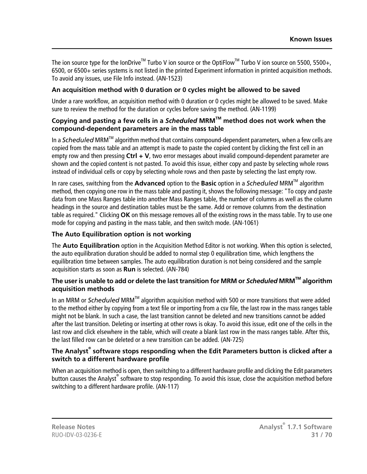The ion source type for the IonDrive<sup>TM</sup> Turbo V ion source or the OptiFlow<sup>TM</sup> Turbo V ion source on 5500, 5500+, 6500, or 6500+ series systems is not listed in the printed Experiment information in printed acquisition methods. To avoid any issues, use File Info instead. (AN-1523)

#### **An acquisition method with 0 duration or 0 cycles might be allowed to be saved**

Under a rare workflow, an acquisition method with 0 duration or 0 cycles might be allowed to be saved. Make sure to review the method for the duration or cycles before saving the method. (AN-1199)

#### **Copying and pasting a few cells in a** *Scheduled* **MRMTM method does not work when the compound-dependent parameters are in the mass table**

In a *Scheduled* MRMTM algorithm method that contains compound-dependent parameters, when a few cells are copied from the mass table and an attempt is made to paste the copied content by clicking the first cell in an empty row and then pressing **Ctrl + V**, two error messages about invalid compound-dependent parameter are shown and the copied content is not pasted. To avoid this issue, either copy and paste by selecting whole rows instead of individual cells or copy by selecting whole rows and then paste by selecting the last empty row.

In rare cases, switching from the **Advanced** option to the **Basic** option in a *Scheduled* MRMTM algorithm method, then copying one row in the mass table and pasting it, shows the following message: "To copy and paste data from one Mass Ranges table into another Mass Ranges table, the number of columns as well as the column headings in the source and destination tables must be the same. Add or remove columns from the destination table as required." Clicking **OK** on this message removes all of the existing rows in the mass table. Try to use one mode for copying and pasting in the mass table, and then switch mode. (AN-1061)

#### **The Auto Equilibration option is not working**

The **Auto Equilibration** option in the Acquisition Method Editor is not working. When this option is selected, the auto equilibration duration should be added to normal step 0 equilibration time, which lengthens the equilibration time between samples. The auto equilibration duration is not being considered and the sample acquisition starts as soon as **Run** is selected. (AN-784)

#### **The user is unable to add or delete the last transition for MRM or** *Scheduled* **MRMTM algorithm acquisition methods**

In an MRM or *Scheduled* MRMTM algorithm acquisition method with 500 or more transitions that were added to the method either by copying from a text file or importing from a csv file, the last row in the mass ranges table might not be blank. In such a case, the last transition cannot be deleted and new transitions cannot be added after the last transition. Deleting or inserting at other rows is okay. To avoid this issue, edit one of the cells in the last row and click elsewhere in the table, which will create a blank last row in the mass ranges table. After this, the last filled row can be deleted or a new transition can be added. (AN-725)

#### **The Analyst® software stops responding when the Edit Parameters button is clicked after a switch to a different hardware profile**

When an acquisition method is open, then switching to a different hardware profile and clicking the Edit parameters button causes the Analyst® software to stop responding. To avoid this issue, close the acquisition method before switching to a different hardware profile. (AN-117)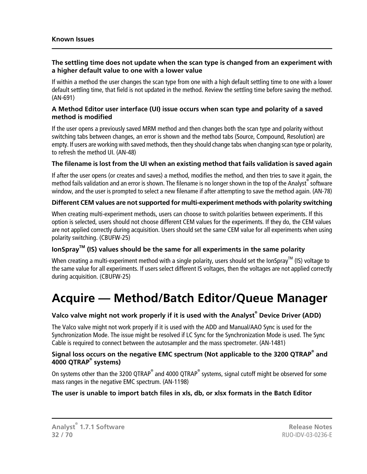#### **The settling time does not update when the scan type is changed from an experiment with a higher default value to one with a lower value**

If within a method the user changes the scan type from one with a high default settling time to one with a lower default settling time, that field is not updated in the method. Review the settling time before saving the method. (AN-691)

#### **A Method Editor user interface (UI) issue occurs when scan type and polarity of a saved method is modified**

If the user opens a previously saved MRM method and then changes both the scan type and polarity without switching tabs between changes, an error is shown and the method tabs (Source, Compound, Resolution) are empty. If users are working with saved methods, then they should change tabs when changing scan type or polarity, to refresh the method UI. (AN-48)

#### **The filename is lost from the UI when an existing method that fails validation is saved again**

If after the user opens (or creates and saves) a method, modifies the method, and then tries to save it again, the method fails validation and an error is shown. The filename is no longer shown in the top of the Analyst®software window, and the user is prompted to select a new filename if after attempting to save the method again. (AN-78)

#### **Different CEM values are not supported for multi-experiment methods with polarity switching**

When creating multi-experiment methods, users can choose to switch polarities between experiments. If this option is selected, users should not choose different CEM values for the experiments. If they do, the CEM values are not applied correctly during acquisition. Users should set the same CEM value for all experiments when using polarity switching. (CBUFW-25)

#### **IonSprayTM (IS) values should be the same for all experiments in the same polarity**

<span id="page-31-0"></span>When creating a multi-experiment method with a single polarity, users should set the IonSpray<sup>TM</sup> (IS) voltage to the same value for all experiments. If users select different IS voltages, then the voltages are not applied correctly during acquisition. (CBUFW-25)

## **Acquire — Method/Batch Editor/Queue Manager**

#### **Valco valve might not work properly if it is used with the Analyst® Device Driver (ADD)**

The Valco valve might not work properly if it is used with the ADD and Manual/AAO Sync is used for the Synchronization Mode. The issue might be resolved if LC Sync for the Synchronization Mode is used. The Sync Cable is required to connect between the autosampler and the mass spectrometer. (AN-1481)

#### **Signal loss occurs on the negative EMC spectrum (Not applicable to the 3200 QTRAP® and 4000 QTRAP® systems)**

On systems other than the 3200 QTRAP $^\circ$  and 4000 QTRAP $^\circ$  systems, signal cutoff might be observed for some mass ranges in the negative EMC spectrum. (AN-1198)

#### **The user is unable to import batch files in xls, db, or xlsx formats in the Batch Editor**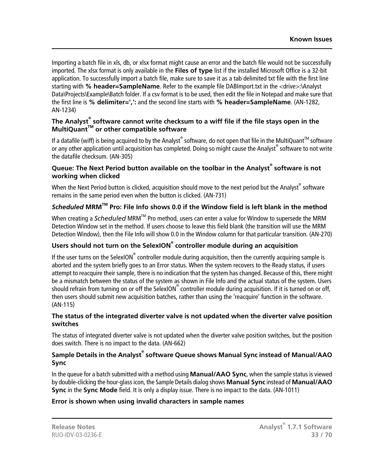Importing a batch file in xls, db, or xlsx format might cause an error and the batch file would not be successfully imported. The xlsx format is only available in the **Files of type** list if the installed Microsoft Office is a 32-bit application. To successfully import a batch file, make sure to save it as a tab delimited txt file with the first line starting with **% header=SampleName**. Refer to the example file DABImport.txt in the <drive>:\Analyst Data\Projects\Example\Batch folder. If a csv format is to be used, then edit the file in Notepad and make sure that the first line is **% delimiter=',':** and the second line starts with **% header=SampleName**. (AN-1282, AN-1234)

#### **The Analyst® software cannot write checksum to a wiff file if the file stays open in the MultiQuantTM or other compatible software**

If a datafile (wiff) is being acquired to by the Analyst® software, do not open that file in the MultiQuant™ software or any other application until acquisition has completed. Doing so might cause the Analyst® software to not write the datafile checksum. (AN-305)

#### **Queue: The Next Period button available on the toolbar in the Analyst® software is not working when clicked**

When the Next Period button is clicked, acquisition should move to the next period but the Analyst $^\circ$  software remains in the same period even when the button is clicked. (AN-731)

#### *Scheduled* **MRMTM Pro: File Info shows 0.0 if the Window field is left blank in the method**

When creating a *Scheduled* MRM<sup>™</sup> Pro method, users can enter a value for Window to supersede the MRM Detection Window set in the method. If users choose to leave this field blank (the transition will use the MRM Detection Window), then the File Info will show 0.0 in the Window column for that particular transition. (AN-270)

#### **Users should not turn on the SelexION® controller module during an acquisition**

If the user turns on the SelexION® controller module during acquisition, then the currently acquiring sample is aborted and the system briefly goes to an Error status. When the system recovers to the Ready status, if users attempt to reacquire their sample, there is no indication that the system has changed. Because of this, there might be a mismatch between the status of the system as shown in File Info and the actual status of the system. Users should refrain from turning on or off the SelexION® controller module during acquisition. If it is turned on or off, then users should submit new acquisition batches, rather than using the 'reacquire' function in the software. (AN-115)

#### **The status of the integrated diverter valve is not updated when the diverter valve position switches**

The status of integrated diverter valve is not updated when the diverter valve position switches, but the position does switch. There is no impact to the data. (AN-662)

#### **Sample Details in the Analyst® software Queue shows Manual Sync instead of Manual/AAO Sync**

In the queue for a batch submitted with a method using **Manual/AAO Sync**, when the sample status is viewed by double-clicking the hour-glass icon, the Sample Details dialog shows **Manual Sync** instead of **Manual/AAO Sync** in the **Sync Mode** field. It is only a display issue. There is no impact to the data. (AN-1011)

#### **Error is shown when using invalid characters in sample names**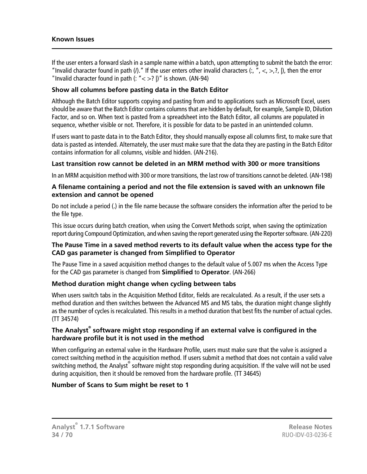If the user enters a forward slash in a sample name within a batch, upon attempting to submit the batch the error: "Invalid character found in path (*I*)." If the user enters other invalid characters (:, ", <, >,?, |), then the error "Invalid character found in path  $(: "<>?$  |)" is shown. (AN-94)

#### **Show all columns before pasting data in the Batch Editor**

Although the Batch Editor supports copying and pasting from and to applications such as Microsoft Excel, users should be aware that the Batch Editor contains columns that are hidden by default, for example, Sample ID, Dilution Factor, and so on. When text is pasted from a spreadsheet into the Batch Editor, all columns are populated in sequence, whether visible or not. Therefore, it is possible for data to be pasted in an unintended column.

If users want to paste data in to the Batch Editor, they should manually expose all columns first, to make sure that data is pasted as intended. Alternately, the user must make sure that the data they are pasting in the Batch Editor contains information for all columns, visible and hidden. (AN-216).

#### **Last transition row cannot be deleted in an MRM method with 300 or more transitions**

In an MRM acquisition method with 300 or more transitions, the last row of transitions cannot be deleted. (AN-198)

#### **A filename containing a period and not the file extension is saved with an unknown file extension and cannot be opened**

Do not include a period (.) in the file name because the software considers the information after the period to be the file type.

This issue occurs during batch creation, when using the Convert Methods script, when saving the optimization report during Compound Optimization, and when saving the report generated using the Reporter software. (AN-220)

#### **The Pause Time in a saved method reverts to its default value when the access type for the CAD gas parameter is changed from Simplified to Operator**

The Pause Time in a saved acquisition method changes to the default value of 5.007 ms when the Access Type for the CAD gas parameter is changed from **Simplified** to **Operator**. (AN-266)

#### **Method duration might change when cycling between tabs**

When users switch tabs in the Acquisition Method Editor, fields are recalculated. As a result, if the user sets a method duration and then switches between the Advanced MS and MS tabs, the duration might change slightly as the number of cycles is recalculated. This results in a method duration that best fits the number of actual cycles. (TT 34574)

#### **The Analyst® software might stop responding if an external valve is configured in the hardware profile but it is not used in the method**

When configuring an external valve in the Hardware Profile, users must make sure that the valve is assigned a correct switching method in the acquisition method. If users submit a method that does not contain a valid valve switching method, the Analyst® software might stop responding during acquisition. If the valve will not be used during acquisition, then it should be removed from the hardware profile. (TT 34645)

#### **Number of Scans to Sum might be reset to 1**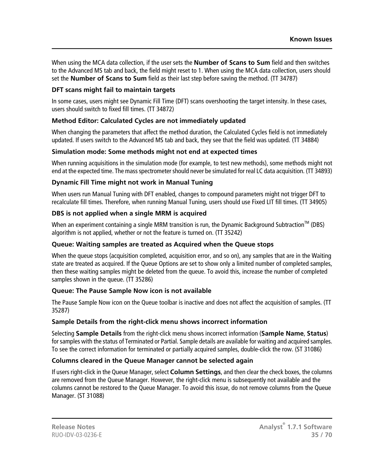When using the MCA data collection, if the user sets the **Number of Scans to Sum** field and then switches to the Advanced MS tab and back, the field might reset to 1. When using the MCA data collection, users should set the **Number of Scans to Sum** field as their last step before saving the method. (TT 34787)

#### **DFT scans might fail to maintain targets**

In some cases, users might see Dynamic Fill Time (DFT) scans overshooting the target intensity. In these cases, users should switch to fixed fill times. (TT 34872)

#### **Method Editor: Calculated Cycles are not immediately updated**

When changing the parameters that affect the method duration, the Calculated Cycles field is not immediately updated. If users switch to the Advanced MS tab and back, they see that the field was updated. (TT 34884)

#### **Simulation mode: Some methods might not end at expected times**

When running acquisitions in the simulation mode (for example, to test new methods), some methods might not end at the expected time. The mass spectrometer should never be simulated for real LC data acquisition. (TT 34893)

#### **Dynamic Fill Time might not work in Manual Tuning**

When users run Manual Tuning with DFT enabled, changes to compound parameters might not trigger DFT to recalculate fill times. Therefore, when running Manual Tuning, users should use Fixed LIT fill times. (TT 34905)

#### **DBS is not applied when a single MRM is acquired**

When an experiment containing a single MRM transition is run, the Dynamic Background Subtraction<sup>TM</sup> (DBS) algorithm is not applied, whether or not the feature is turned on. (TT 35242)

#### **Queue: Waiting samples are treated as Acquired when the Queue stops**

When the queue stops (acquisition completed, acquisition error, and so on), any samples that are in the Waiting state are treated as acquired. If the Queue Options are set to show only a limited number of completed samples, then these waiting samples might be deleted from the queue. To avoid this, increase the number of completed samples shown in the queue. (TT 35286)

#### **Queue: The Pause Sample Now icon is not available**

The Pause Sample Now icon on the Queue toolbar is inactive and does not affect the acquisition of samples. (TT 35287)

#### **Sample Details from the right-click menu shows incorrect information**

Selecting **Sample Details** from the right-click menu shows incorrect information (**Sample Name**, **Status**) for samples with the status of Terminated or Partial. Sample details are available for waiting and acquired samples. To see the correct information for terminated or partially acquired samples, double-click the row. (ST 31086)

#### **Columns cleared in the Queue Manager cannot be selected again**

If users right-click in the Queue Manager, select **Column Settings**, and then clear the check boxes, the columns are removed from the Queue Manager. However, the right-click menu is subsequently not available and the columns cannot be restored to the Queue Manager. To avoid this issue, do not remove columns from the Queue Manager. (ST 31088)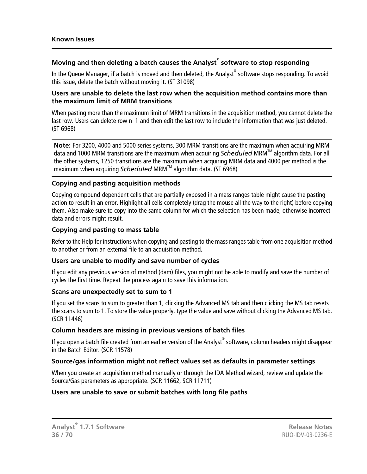#### **Moving and then deleting a batch causes the Analyst® software to stop responding**

In the Queue Manager, if a batch is moved and then deleted, the Analyst® software stops responding. To avoid this issue, delete the batch without moving it. (ST 31098)

#### **Users are unable to delete the last row when the acquisition method contains more than the maximum limit of MRM transitions**

When pasting more than the maximum limit of MRM transitions in the acquisition method, you cannot delete the last row. Users can delete row n–1 and then edit the last row to include the information that was just deleted. (ST 6968)

**Note:** For 3200, 4000 and 5000 series systems, 300 MRM transitions are the maximum when acquiring MRM data and 1000 MRM transitions are the maximum when acquiring *Scheduled* MRM<sup>™</sup> algorithm data. For all the other systems, 1250 transitions are the maximum when acquiring MRM data and 4000 per method is the maximum when acquiring *Scheduled* MRM<sup>™</sup> algorithm data. (ST 6968)

#### **Copying and pasting acquisition methods**

Copying compound-dependent cells that are partially exposed in a mass ranges table might cause the pasting action to result in an error. Highlight all cells completely (drag the mouse all the way to the right) before copying them. Also make sure to copy into the same column for which the selection has been made, otherwise incorrect data and errors might result.

#### **Copying and pasting to mass table**

Refer to the Help for instructions when copying and pasting to the mass ranges table from one acquisition method to another or from an external file to an acquisition method.

#### **Users are unable to modify and save number of cycles**

If you edit any previous version of method (dam) files, you might not be able to modify and save the number of cycles the first time. Repeat the process again to save this information.

#### **Scans are unexpectedly set to sum to 1**

If you set the scans to sum to greater than 1, clicking the Advanced MS tab and then clicking the MS tab resets the scans to sum to 1. To store the value properly, type the value and save without clicking the Advanced MS tab. (SCR 11446)

#### **Column headers are missing in previous versions of batch files**

If you open a batch file created from an earlier version of the Analyst<sup>®</sup> software, column headers might disappear in the Batch Editor. (SCR 11578)

#### **Source/gas information might not reflect values set as defaults in parameter settings**

When you create an acquisition method manually or through the IDA Method wizard, review and update the Source/Gas parameters as appropriate. (SCR 11662, SCR 11711)

#### **Users are unable to save or submit batches with long file paths**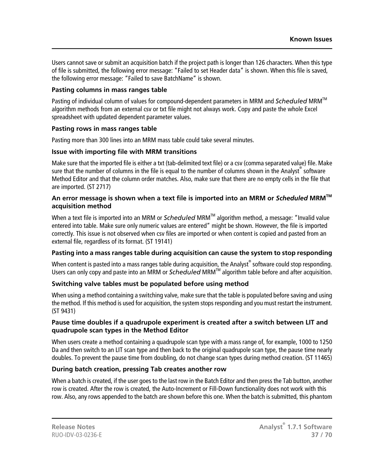Users cannot save or submit an acquisition batch if the project path is longer than 126 characters. When this type of file is submitted, the following error message: "Failed to set Header data" is shown. When this file is saved, the following error message: "Failed to save BatchName" is shown.

#### **Pasting columns in mass ranges table**

Pasting of individual column of values for compound-dependent parameters in MRM and *Scheduled* MRM<sup>™</sup> algorithm methods from an external csv or txt file might not always work. Copy and paste the whole Excel spreadsheet with updated dependent parameter values.

#### **Pasting rows in mass ranges table**

Pasting more than 300 lines into an MRM mass table could take several minutes.

#### **Issue with importing file with MRM transitions**

Make sure that the imported file is either a txt (tab-delimited text file) or a csv (comma separated value) file. Make sure that the number of columns in the file is equal to the number of columns shown in the Analyst® software Method Editor and that the column order matches. Also, make sure that there are no empty cells in the file that are imported. (ST 2717)

#### **An error message is shown when a text file is imported into an MRM or** *Scheduled* **MRMTM acquisition method**

When a text file is imported into an MRM or *Scheduled* MRM<sup>™</sup> algorithm method, a message: "Invalid value entered into table. Make sure only numeric values are entered" might be shown. However, the file is imported correctly. This issue is not observed when csv files are imported or when content is copied and pasted from an external file, regardless of its format. (ST 19141)

#### **Pasting into a mass ranges table during acquisition can cause the system to stop responding**

When content is pasted into a mass ranges table during acquisition, the Analyst $^\circ$  software could stop responding. Users can only copy and paste into an MRM or *Scheduled* MRM<sup>TM</sup> algorithm table before and after acquisition.

#### **Switching valve tables must be populated before using method**

When using a method containing a switching valve, make sure that the table is populated before saving and using the method. If this method is used for acquisition, the system stops responding and you must restart the instrument. (ST 9431)

#### **Pause time doubles if a quadrupole experiment is created after a switch between LIT and quadrupole scan types in the Method Editor**

When users create a method containing a quadrupole scan type with a mass range of, for example, 1000 to 1250 Da and then switch to an LIT scan type and then back to the original quadrupole scan type, the pause time nearly doubles. To prevent the pause time from doubling, do not change scan types during method creation. (ST 11465)

#### **During batch creation, pressing Tab creates another row**

When a batch is created, if the user goes to the last row in the Batch Editor and then press the Tab button, another row is created. After the row is created, the Auto-Increment or Fill-Down functionality does not work with this row. Also, any rows appended to the batch are shown before this one. When the batch is submitted, this phantom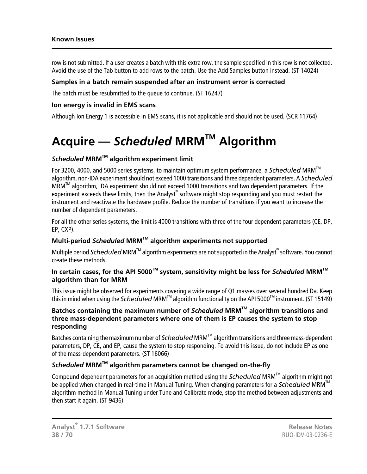#### **Known Issues**

row is not submitted. If a user creates a batch with this extra row, the sample specified in this row is not collected. Avoid the use of the Tab button to add rows to the batch. Use the Add Samples button instead. (ST 14024)

#### **Samples in a batch remain suspended after an instrument error is corrected**

The batch must be resubmitted to the queue to continue. (ST 16247)

#### **Ion energy is invalid in EMS scans**

<span id="page-37-0"></span>Although Ion Energy 1 is accessible in EMS scans, it is not applicable and should not be used. (SCR 11764)

## **Acquire —** *Scheduled* **MRMTM Algorithm**

#### *Scheduled* **MRMTM algorithm experiment limit**

For 3200, 4000, and 5000 series systems, to maintain optimum system performance, a *Scheduled* MRM<sup>IM</sup> algorithm, non-IDA experiment should not exceed 1000 transitions and three dependent parameters. A *Scheduled*  $MRM<sup>IM</sup>$  algorithm, IDA experiment should not exceed 1000 transitions and two dependent parameters. If the experiment exceeds these limits, then the Analyst® software might stop responding and you must restart the instrument and reactivate the hardware profile. Reduce the number of transitions if you want to increase the number of dependent parameters.

For all the other series systems, the limit is 4000 transitions with three of the four dependent parameters (CE, DP, EP, CXP).

#### **Multi-period** *Scheduled* **MRMTM algorithm experiments not supported**

Multiple period *Scheduled* MRM™ algorithm experiments are not supported in the Analyst<sup>®</sup> software. You cannot create these methods.

#### **In certain cases, for the API 5000TM system, sensitivity might be less for** *Scheduled* **MRMTM algorithm than for MRM**

This issue might be observed for experiments covering a wide range of Q1 masses over several hundred Da. Keep this in mind when using the *Scheduled* MRM<sup>™</sup> algorithm functionality on the API 5000<sup>™</sup> instrument. (ST 15149)

#### **Batches containing the maximum number of** *Scheduled* **MRMTM algorithm transitions and three mass-dependent parameters where one of them is EP causes the system to stop responding**

Batches containing the maximum number of *Scheduled* MRM<sup>™</sup> algorithm transitions and three mass-dependent parameters, DP, CE, and EP, cause the system to stop responding. To avoid this issue, do not include EP as one of the mass-dependent parameters. (ST 16066)

#### *Scheduled* **MRMTM algorithm parameters cannot be changed on-the-fly**

Compound-dependent parameters for an acquisition method using the *Scheduled* MRMTM algorithm might not be applied when changed in real-time in Manual Tuning. When changing parameters for a *Scheduled* MRM<sup>IM</sup> algorithm method in Manual Tuning under Tune and Calibrate mode, stop the method between adjustments and then start it again. (ST 9436)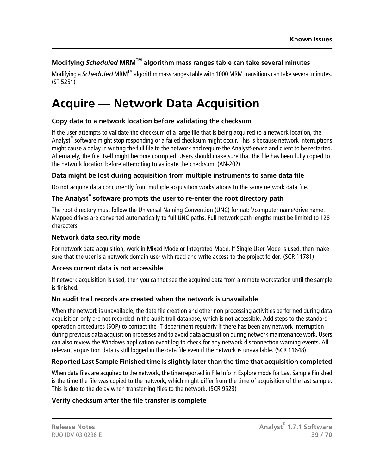#### **Modifying** *Scheduled* **MRMTM algorithm mass ranges table can take several minutes**

Modifying a *Scheduled* MRM<sup>™</sup> algorithm mass ranges table with 1000 MRM transitions can take several minutes. (ST 5251)

### <span id="page-38-0"></span>**Acquire — Network Data Acquisition**

#### **Copy data to a network location before validating the checksum**

If the user attempts to validate the checksum of a large file that is being acquired to a network location, the Analyst<sup>®</sup> software might stop responding or a failed checksum might occur. This is because network interruptions might cause a delay in writing the full file to the network and require the AnalystService and client to be restarted. Alternately, the file itself might become corrupted. Users should make sure that the file has been fully copied to the network location before attempting to validate the checksum. (AN-202)

#### **Data might be lost during acquisition from multiple instruments to same data file**

Do not acquire data concurrently from multiple acquisition workstations to the same network data file.

#### **The Analyst® software prompts the user to re-enter the root directory path**

The root directory must follow the Universal Naming Convention (UNC) format: \\computer name\drive name. Mapped drives are converted automatically to full UNC paths. Full network path lengths must be limited to 128 characters.

#### **Network data security mode**

For network data acquisition, work in Mixed Mode or Integrated Mode. If Single User Mode is used, then make sure that the user is a network domain user with read and write access to the project folder. (SCR 11781)

#### **Access current data is not accessible**

If network acquisition is used, then you cannot see the acquired data from a remote workstation until the sample is finished.

#### **No audit trail records are created when the network is unavailable**

When the network is unavailable, the data file creation and other non-processing activities performed during data acquisition only are not recorded in the audit trail database, which is not accessible. Add steps to the standard operation procedures (SOP) to contact the IT department regularly if there has been any network interruption during previous data acquisition processes and to avoid data acquisition during network maintenance work. Users can also review the Windows application event log to check for any network disconnection warning events. All relevant acquisition data is still logged in the data file even if the network is unavailable. (SCR 11648)

#### **Reported Last Sample Finished time is slightly later than the time that acquisition completed**

When data files are acquired to the network, the time reported in File Info in Explore mode for Last Sample Finished is the time the file was copied to the network, which might differ from the time of acquisition of the last sample. This is due to the delay when transferring files to the network. (SCR 9523)

#### **Verify checksum after the file transfer is complete**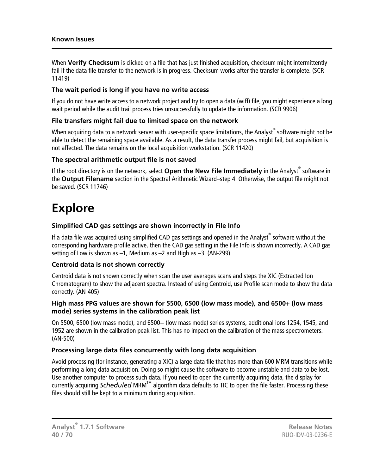When **Verify Checksum** is clicked on a file that has just finished acquisition, checksum might intermittently fail if the data file transfer to the network is in progress. Checksum works after the transfer is complete. (SCR 11419)

#### **The wait period is long if you have no write access**

If you do not have write access to a network project and try to open a data (wiff) file, you might experience a long wait period while the audit trail process tries unsuccessfully to update the information. (SCR 9906)

#### **File transfers might fail due to limited space on the network**

When acquiring data to a network server with user-specific space limitations, the Analyst $^\circ$  software might not be able to detect the remaining space available. As a result, the data transfer process might fail, but acquisition is not affected. The data remains on the local acquisition workstation. (SCR 11420)

#### **The spectral arithmetic output file is not saved**

<span id="page-39-0"></span>If the root directory is on the network, select **Open the New File Immediately** in the Analyst<sup>®</sup> software in the **Output Filename** section in the Spectral Arithmetic Wizard–step 4. Otherwise, the output file might not be saved. (SCR 11746)

### **Explore**

#### **Simplified CAD gas settings are shown incorrectly in File Info**

If a data file was acquired using simplified CAD gas settings and opened in the Analyst® software without the corresponding hardware profile active, then the CAD gas setting in the File Info is shown incorrectly. A CAD gas setting of Low is shown as  $-1$ , Medium as  $-2$  and High as  $-3$ . (AN-299)

#### **Centroid data is not shown correctly**

Centroid data is not shown correctly when scan the user averages scans and steps the XIC (Extracted Ion Chromatogram) to show the adjacent spectra. Instead of using Centroid, use Profile scan mode to show the data correctly. (AN-405)

#### **High mass PPG values are shown for 5500, 6500 (low mass mode), and 6500+ (low mass mode) series systems in the calibration peak list**

On 5500, 6500 (low mass mode), and 6500+ (low mass mode) series systems, additional ions 1254, 1545, and 1952 are shown in the calibration peak list. This has no impact on the calibration of the mass spectrometers. (AN-500)

#### **Processing large data files concurrently with long data acquisition**

Avoid processing (for instance, generating a XIC) a large data file that has more than 600 MRM transitions while performing a long data acquisition. Doing so might cause the software to become unstable and data to be lost. Use another computer to process such data. If you need to open the currently acquiring data, the display for currently acquiring *Scheduled* MRM<sup>™</sup> algorithm data defaults to TIC to open the file faster. Processing these files should still be kept to a minimum during acquisition.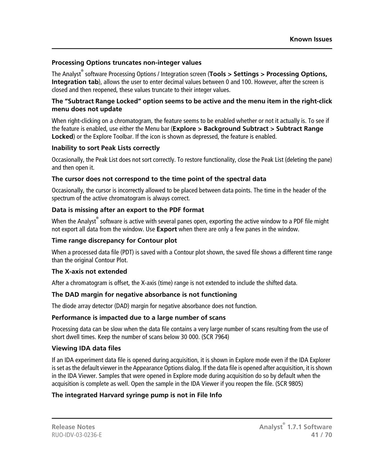#### **Processing Options truncates non-integer values**

The Analyst® software Processing Options / Integration screen (**Tools > Settings > Processing Options, Integration tab**), allows the user to enter decimal values between 0 and 100. However, after the screen is closed and then reopened, these values truncate to their integer values.

#### **The "Subtract Range Locked" option seems to be active and the menu item in the right-click menu does not update**

When right-clicking on a chromatogram, the feature seems to be enabled whether or not it actually is. To see if the feature is enabled, use either the Menu bar (**Explore > Background Subtract > Subtract Range Locked**) or the Explore Toolbar. If the icon is shown as depressed, the feature is enabled.

#### **Inability to sort Peak Lists correctly**

Occasionally, the Peak List does not sort correctly. To restore functionality, close the Peak List (deleting the pane) and then open it.

#### **The cursor does not correspond to the time point of the spectral data**

Occasionally, the cursor is incorrectly allowed to be placed between data points. The time in the header of the spectrum of the active chromatogram is always correct.

#### **Data is missing after an export to the PDF format**

When the Analyst $^\circ$  software is active with several panes open, exporting the active window to a PDF file might not export all data from the window. Use **Export** when there are only a few panes in the window.

#### **Time range discrepancy for Contour plot**

When a processed data file (PDT) is saved with a Contour plot shown, the saved file shows a different time range than the original Contour Plot.

#### **The X-axis not extended**

After a chromatogram is offset, the X-axis (time) range is not extended to include the shifted data.

#### **The DAD margin for negative absorbance is not functioning**

The diode array detector (DAD) margin for negative absorbance does not function.

#### **Performance is impacted due to a large number of scans**

Processing data can be slow when the data file contains a very large number of scans resulting from the use of short dwell times. Keep the number of scans below 30 000. (SCR 7964)

#### **Viewing IDA data files**

If an IDA experiment data file is opened during acquisition, it is shown in Explore mode even if the IDA Explorer is set as the default viewer in the Appearance Options dialog. If the data file is opened after acquisition, it is shown in the IDA Viewer. Samples that were opened in Explore mode during acquisition do so by default when the acquisition is complete as well. Open the sample in the IDA Viewer if you reopen the file. (SCR 9805)

#### **The integrated Harvard syringe pump is not in File Info**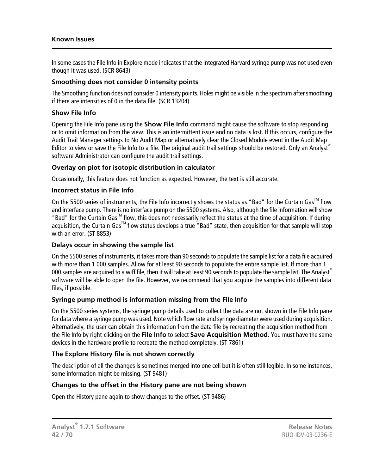#### **Known Issues**

In some cases the File Info in Explore mode indicates that the integrated Harvard syringe pump was not used even though it was used. (SCR 8643)

#### **Smoothing does not consider 0 intensity points**

The Smoothing function does not consider 0 intensity points. Holes might be visible in the spectrum after smoothing if there are intensities of 0 in the data file. (SCR 13204)

#### **Show File Info**

Opening the File Info pane using the **Show File Info** command might cause the software to stop responding or to omit information from the view. This is an intermittent issue and no data is lost. If this occurs, configure the Audit Trail Manager settings to No Audit Map or alternatively clear the Closed Module event in the Audit Map Editor to view or save the File Info to a file. The original audit trail settings should be restored. Only an Analyst® software Administrator can configure the audit trail settings.

#### **Overlay on plot for isotopic distribution in calculator**

Occasionally, this feature does not function as expected. However, the text is still accurate.

#### **Incorrect status in File Info**

On the 5500 series of instruments, the File Info incorrectly shows the status as "Bad" for the Curtain Gas<sup>TM</sup> flow and interface pump. There is no interface pump on the 5500 systems. Also, although the file information will show "Bad" for the Curtain Gas<sup>TM</sup> flow, this does not necessarily reflect the status at the time of acquisition. If during acquisition, the Curtain Gas<sup>TM</sup> flow status develops a true "Bad" state, then acquisition for that sample will stop with an error. (ST 8853)

#### **Delays occur in showing the sample list**

On the 5500 series of instruments, it takes more than 90 seconds to populate the sample list for a data file acquired with more than 1 000 samples. Allow for at least 90 seconds to populate the entire sample list. If more than 1 000 samples are acquired to a wiff file, then it will take at least 90 seconds to populate the sample list. The Analyst software will be able to open the file. However, we recommend that you acquire the samples into different data files, if possible.

#### **Syringe pump method is information missing from the File Info**

On the 5500 series systems, the syringe pump details used to collect the data are not shown in the File Info pane for data where a syringe pump was used. Note which flow rate and syringe diameter were used during acquisition. Alternatively, the user can obtain this information from the data file by recreating the acquisition method from the File Info by right-clicking on the **File Info** to select **Save Acquisition Method**. You must have the same devices in the hardware profile to recreate the method completely. (ST 7861)

#### **The Explore History file is not shown correctly**

The description of all the changes is sometimes merged into one cell but it is often still legible. In some instances, some information might be missing. (ST 9481)

#### **Changes to the offset in the History pane are not being shown**

Open the History pane again to show changes to the offset. (ST 9486)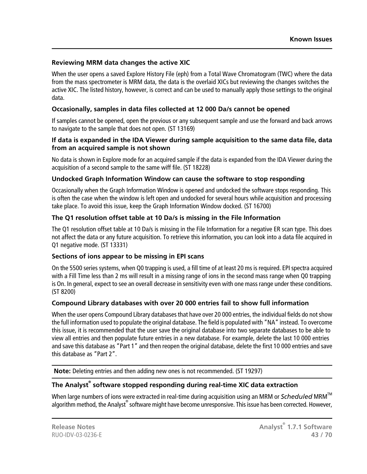#### **Reviewing MRM data changes the active XIC**

When the user opens a saved Explore History File (eph) from a Total Wave Chromatogram (TWC) where the data from the mass spectrometer is MRM data, the data is the overlaid XICs but reviewing the changes switches the active XIC. The listed history, however, is correct and can be used to manually apply those settings to the original data.

#### **Occasionally, samples in data files collected at 12 000 Da/s cannot be opened**

If samples cannot be opened, open the previous or any subsequent sample and use the forward and back arrows to navigate to the sample that does not open. (ST 13169)

#### **If data is expanded in the IDA Viewer during sample acquisition to the same data file, data from an acquired sample is not shown**

No data is shown in Explore mode for an acquired sample if the data is expanded from the IDA Viewer during the acquisition of a second sample to the same wiff file. (ST 18228)

#### **Undocked Graph Information Window can cause the software to stop responding**

Occasionally when the Graph Information Window is opened and undocked the software stops responding. This is often the case when the window is left open and undocked for several hours while acquisition and processing take place. To avoid this issue, keep the Graph Information Window docked. (ST 16700)

#### **The Q1 resolution offset table at 10 Da/s is missing in the File Information**

The Q1 resolution offset table at 10 Da/s is missing in the File Information for a negative ER scan type. This does not affect the data or any future acquisition. To retrieve this information, you can look into a data file acquired in Q1 negative mode. (ST 13331)

#### **Sections of ions appear to be missing in EPI scans**

On the 5500 series systems, when Q0 trapping is used, a fill time of at least 20 ms is required. EPI spectra acquired with a Fill Time less than 2 ms will result in a missing range of ions in the second mass range when Q0 trapping is On. In general, expect to see an overall decrease in sensitivity even with one mass range under these conditions. (ST 8200)

#### **Compound Library databases with over 20 000 entries fail to show full information**

When the user opens Compound Library databases that have over 20 000 entries, the individual fields do not show the full information used to populate the original database. The field is populated with "NA" instead. To overcome this issue, it is recommended that the user save the original database into two separate databases to be able to view all entries and then populate future entries in a new database. For example, delete the last 10 000 entries and save this database as "Part 1" and then reopen the original database, delete the first 10 000 entries and save this database as "Part 2".

**Note:** Deleting entries and then adding new ones is not recommended. (ST 19297)

#### **The Analyst® software stopped responding during real-time XIC data extraction**

When large numbers of ions were extracted in real-time during acquisition using an MRM or *Scheduled* MRMTM algorithm method, the Analyst® software might have become unresponsive. This issue has been corrected. However,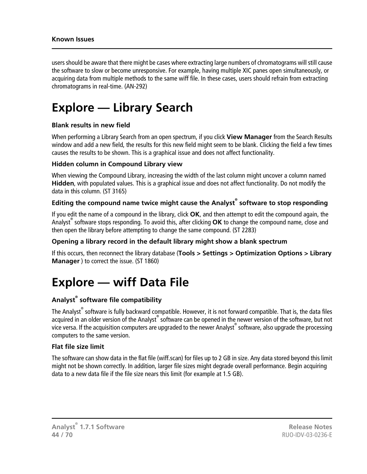#### **Known Issues**

users should be aware that there might be cases where extracting large numbers of chromatograms will still cause the software to slow or become unresponsive. For example, having multiple XIC panes open simultaneously, or acquiring data from multiple methods to the same wiff file. In these cases, users should refrain from extracting chromatograms in real-time. (AN-292)

### <span id="page-43-0"></span>**Explore — Library Search**

#### **Blank results in new field**

When performing a Library Search from an open spectrum, if you click **View Manager** from the Search Results window and add a new field, the results for this new field might seem to be blank. Clicking the field a few times causes the results to be shown. This is a graphical issue and does not affect functionality.

#### **Hidden column in Compound Library view**

When viewing the Compound Library, increasing the width of the last column might uncover a column named **Hidden**, with populated values. This is a graphical issue and does not affect functionality. Do not modify the data in this column. (ST 3165)

#### **Editing the compound name twice might cause the Analyst® software to stop responding**

If you edit the name of a compound in the library, click **OK**, and then attempt to edit the compound again, the Analyst® software stops responding. To avoid this, after clicking **OK** to change the compound name, close and then open the library before attempting to change the same compound. (ST 2283)

#### **Opening a library record in the default library might show a blank spectrum**

<span id="page-43-1"></span>If this occurs, then reconnect the library database (**Tools > Settings > Optimization Options > Library Manager** ) to correct the issue. (ST 1860)

### **Explore — wiff Data File**

#### **Analyst® software file compatibility**

The Analyst<sup>®</sup> software is fully backward compatible. However, it is not forward compatible. That is, the data files acquired in an older version of the Analyst® software can be opened in the newer version of the software, but not vice versa. If the acquisition computers are upgraded to the newer Analyst $^\circ$  software, also upgrade the processing computers to the same version.

#### **Flat file size limit**

The software can show data in the flat file (wiff.scan) for files up to 2 GB in size. Any data stored beyond this limit might not be shown correctly. In addition, larger file sizes might degrade overall performance. Begin acquiring data to a new data file if the file size nears this limit (for example at 1.5 GB).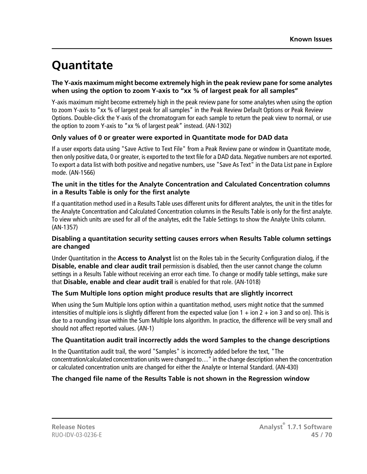## <span id="page-44-0"></span>**Quantitate**

#### **The Y-axis maximum might become extremely high in the peak review pane for some analytes when using the option to zoom Y-axis to "xx % of largest peak for all samples"**

Y-axis maximum might become extremely high in the peak review pane for some analytes when using the option to zoom Y-axis to "xx % of largest peak for all samples" in the Peak Review Default Options or Peak Review Options. Double-click the Y-axis of the chromatogram for each sample to return the peak view to normal, or use the option to zoom Y-axis to "xx % of largest peak" instead. (AN-1302)

#### **Only values of 0 or greater were exported in Quantitate mode for DAD data**

If a user exports data using "Save Active to Text File" from a Peak Review pane or window in Quantitate mode, then only positive data, 0 or greater, is exported to the text file for a DAD data. Negative numbers are not exported. To export a data list with both positive and negative numbers, use "Save As Text" in the Data List pane in Explore mode. (AN-1566)

#### **The unit in the titles for the Analyte Concentration and Calculated Concentration columns in a Results Table is only for the first analyte**

If a quantitation method used in a Results Table uses different units for different analytes, the unit in the titles for the Analyte Concentration and Calculated Concentration columns in the Results Table is only for the first analyte. To view which units are used for all of the analytes, edit the Table Settings to show the Analyte Units column. (AN-1357)

#### **Disabling a quantitation security setting causes errors when Results Table column settings are changed**

Under Quantitation in the **Access to Analyst** list on the Roles tab in the Security Configuration dialog, if the **Disable, enable and clear audit trail** permission is disabled, then the user cannot change the column settings in a Results Table without receiving an error each time. To change or modify table settings, make sure that **Disable, enable and clear audit trail** is enabled for that role. (AN-1018)

#### **The Sum Multiple Ions option might produce results that are slightly incorrect**

When using the Sum Multiple Ions option within a quantitation method, users might notice that the summed intensities of multiple ions is slightly different from the expected value (ion  $1 +$  ion  $2 +$  ion  $3$  and so on). This is due to a rounding issue within the Sum Multiple Ions algorithm. In practice, the difference will be very small and should not affect reported values. (AN-1)

#### **The Quantitation audit trail incorrectly adds the word Samples to the change descriptions**

In the Quantitation audit trail, the word "Samples" is incorrectly added before the text, "The concentration/calculated concentration units were changed to…" in the change description when the concentration or calculated concentration units are changed for either the Analyte or Internal Standard. (AN-430)

#### **The changed file name of the Results Table is not shown in the Regression window**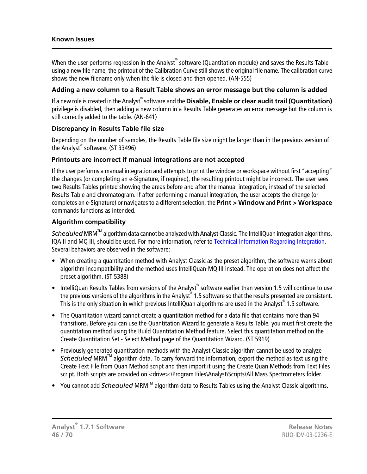#### **Known Issues**

When the user performs regression in the Analyst $^\circ$  software (Quantitation module) and saves the Results Table using a new file name, the printout of the Calibration Curve still shows the original file name. The calibration curve shows the new filename only when the file is closed and then opened. (AN-555)

#### **Adding a new column to a Result Table shows an error message but the column is added**

If a new role is created in the Analyst® software and the **Disable, Enable or clear audit trail (Quantitation)** privilege is disabled, then adding a new column in a Results Table generates an error message but the column is still correctly added to the table. (AN-641)

#### **Discrepancy in Results Table file size**

Depending on the number of samples, the Results Table file size might be larger than in the previous version of the Analyst® software. (ST 33496)

#### **Printouts are incorrect if manual integrations are not accepted**

If the user performs a manual integration and attempts to print the window or workspace without first "accepting" the changes (or completing an e-Signature, if required), the resulting printout might be incorrect. The user sees two Results Tables printed showing the areas before and after the manual integration, instead of the selected Results Table and chromatogram. If after performing a manual integration, the user accepts the change (or completes an e-Signature) or navigates to a different selection, the **Print > Window** and **Print > Workspace** commands functions as intended.

#### **Algorithm compatibility**

*Scheduled* MRM<sup>™</sup> algorithm data cannot be analyzed with Analyst Classic. The IntelliQuan integration algorithms, IQA II and MQ III, should be used. For more information, refer to [Technical Information Regarding Integration.](#page-66-0) Several behaviors are observed in the software:

- When creating a quantitation method with Analyst Classic as the preset algorithm, the software warns about algorithm incompatibility and the method uses IntelliQuan-MQ III instead. The operation does not affect the preset algorithm. (ST 5388)
- IntelliQuan Results Tables from versions of the Analyst® software earlier than version 1.5 will continue to use the previous versions of the algorithms in the Analyst® 1.5 software so that the results presented are consistent. This is the only situation in which previous IntelliQuan algorithms are used in the Analyst® 1.5 software.
- The Quantitation wizard cannot create a quantitation method for a data file that contains more than 94 transitions. Before you can use the Quantitation Wizard to generate a Results Table, you must first create the quantitation method using the Build Quantitation Method feature. Select this quantitation method on the Create Quantitation Set - Select Method page of the Quantitation Wizard. (ST 5919)
- Previously generated quantitation methods with the Analyst Classic algorithm cannot be used to analyze *Scheduled* MRMTM algorithm data. To carry forward the information, export the method as text using the Create Text File from Quan Method script and then import it using the Create Quan Methods from Text Files script. Both scripts are provided on <drive>:\Program Files\Analyst\Scripts\All Mass Spectrometers folder.
- You cannot add *Scheduled* MRM<sup>TM</sup> algorithm data to Results Tables using the Analyst Classic algorithms.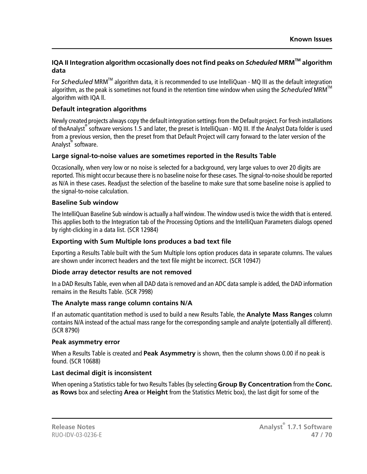#### **IQA II Integration algorithm occasionally does not find peaks on** *Scheduled* **MRMTM algorithm data**

For *Scheduled* MRM<sup>™</sup> algorithm data, it is recommended to use IntelliQuan - MQ III as the default integration algorithm, as the peak is sometimes not found in the retention time window when using the *Scheduled* MRMTM algorithm with IQA ll.

#### **Default integration algorithms**

Newly created projects always copy the default integration settings from the Default project. For fresh installations of theAnalyst® software versions 1.5 and later, the preset is IntelliQuan - MQ III. If the Analyst Data folder is used from a previous version, then the preset from that Default Project will carry forward to the later version of the Analyst® software.

#### **Large signal-to-noise values are sometimes reported in the Results Table**

Occasionally, when very low or no noise is selected for a background, very large values to over 20 digits are reported. This might occur because there is no baseline noise for these cases. The signal-to-noise should be reported as N/A in these cases. Readjust the selection of the baseline to make sure that some baseline noise is applied to the signal-to-noise calculation.

#### **Baseline Sub window**

The IntelliQuan Baseline Sub window is actually a half window. The window used is twice the width that is entered. This applies both to the Integration tab of the Processing Options and the IntelliQuan Parameters dialogs opened by right-clicking in a data list. (SCR 12984)

#### **Exporting with Sum Multiple Ions produces a bad text file**

Exporting a Results Table built with the Sum Multiple Ions option produces data in separate columns. The values are shown under incorrect headers and the text file might be incorrect. (SCR 10947)

#### **Diode array detector results are not removed**

In a DAD Results Table, even when all DAD data is removed and an ADC data sample is added, the DAD information remains in the Results Table. (SCR 7998)

#### **The Analyte mass range column contains N/A**

If an automatic quantitation method is used to build a new Results Table, the **Analyte Mass Ranges** column contains N/A instead of the actual mass range for the corresponding sample and analyte (potentially all different). (SCR 8790)

#### **Peak asymmetry error**

When a Results Table is created and **Peak Asymmetry** is shown, then the column shows 0.00 if no peak is found. (SCR 10688)

#### **Last decimal digit is inconsistent**

When opening a Statistics table for two Results Tables (by selecting **Group By Concentration** from the **Conc. as Rows** box and selecting **Area** or **Height** from the Statistics Metric box), the last digit for some of the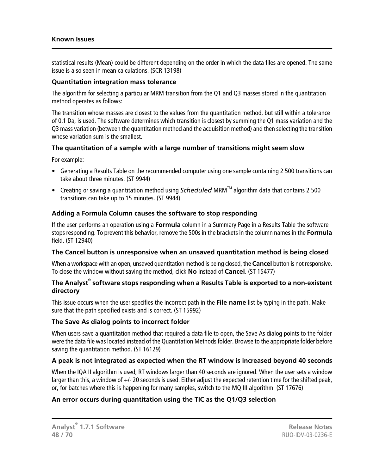statistical results (Mean) could be different depending on the order in which the data files are opened. The same issue is also seen in mean calculations. (SCR 13198)

#### **Quantitation integration mass tolerance**

The algorithm for selecting a particular MRM transition from the Q1 and Q3 masses stored in the quantitation method operates as follows:

The transition whose masses are closest to the values from the quantitation method, but still within a tolerance of 0.1 Da, is used. The software determines which transition is closest by summing the Q1 mass variation and the Q3 mass variation (between the quantitation method and the acquisition method) and then selecting the transition whose variation sum is the smallest.

#### **The quantitation of a sample with a large number of transitions might seem slow**

For example:

- Generating a Results Table on the recommended computer using one sample containing 2 500 transitions can take about three minutes. (ST 9944)
- Creating or saving a quantitation method using *Scheduled* MRM<sup>TM</sup> algorithm data that contains 2 500 transitions can take up to 15 minutes. (ST 9944)

#### **Adding a Formula Column causes the software to stop responding**

If the user performs an operation using a **Formula** column in a Summary Page in a Results Table the software stops responding. To prevent this behavior, remove the 500s in the brackets in the column names in the **Formula** field. (ST 12940)

#### **The Cancel button is unresponsive when an unsaved quantitation method is being closed**

When a workspace with an open, unsaved quantitation method is being closed, the **Cancel** button is not responsive. To close the window without saving the method, click **No** instead of **Cancel**. (ST 15477)

#### **The Analyst® software stops responding when a Results Table is exported to a non-existent directory**

This issue occurs when the user specifies the incorrect path in the **File name** list by typing in the path. Make sure that the path specified exists and is correct. (ST 15992)

#### **The Save As dialog points to incorrect folder**

When users save a quantitation method that required a data file to open, the Save As dialog points to the folder were the data file was located instead of the Quantitation Methods folder. Browse to the appropriate folder before saving the quantitation method. (ST 16129)

#### **A peak is not integrated as expected when the RT window is increased beyond 40 seconds**

When the IQA II algorithm is used, RT windows larger than 40 seconds are ignored. When the user sets a window larger than this, a window of +/- 20 seconds is used. Either adjust the expected retention time for the shifted peak, or, for batches where this is happening for many samples, switch to the MQ III algorithm. (ST 17676)

#### **An error occurs during quantitation using the TIC as the Q1/Q3 selection**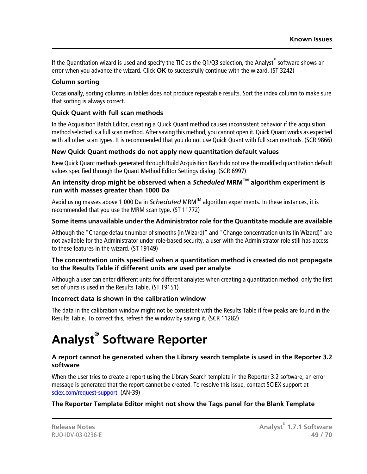If the Quantitation wizard is used and specify the TIC as the Q1/Q3 selection, the Analyst<sup>®</sup> software shows an error when you advance the wizard. Click **OK** to successfully continue with the wizard. (ST 3242)

#### **Column sorting**

Occasionally, sorting columns in tables does not produce repeatable results. Sort the index column to make sure that sorting is always correct.

#### **Quick Quant with full scan methods**

In the Acquisition Batch Editor, creating a Quick Quant method causes inconsistent behavior if the acquisition method selected is a full scan method. After saving this method, you cannot open it. Quick Quant works as expected with all other scan types. It is recommended that you do not use Quick Quant with full scan methods. (SCR 9866)

#### **New Quick Quant methods do not apply new quantitation default values**

New Quick Quant methods generated through Build Acquisition Batch do not use the modified quantitation default values specified through the Quant Method Editor Settings dialog. (SCR 6997)

#### **An intensity drop might be observed when a** *Scheduled* **MRMTM algorithm experiment is run with masses greater than 1000 Da**

Avoid using masses above 1 000 Da in *Scheduled* MRMTM algorithm experiments. In these instances, it is recommended that you use the MRM scan type. (ST 11772)

#### **Some items unavailable under the Administrator role for the Quantitate module are available**

Although the "Change default number of smooths (in Wizard)" and "Change concentration units (in Wizard)" are not available for the Administrator under role-based security, a user with the Administrator role still has access to these features in the wizard. (ST 19149)

#### **The concentration units specified when a quantitation method is created do not propagate to the Results Table if different units are used per analyte**

Although a user can enter different units for different analytes when creating a quantitation method, only the first set of units is used in the Results Table. (ST 19151)

#### <span id="page-48-0"></span>**Incorrect data is shown in the calibration window**

The data in the calibration window might not be consistent with the Results Table if few peaks are found in the Results Table. To correct this, refresh the window by saving it. (SCR 11282)

# **Analyst® Software Reporter**

#### **A report cannot be generated when the Library search template is used in the Reporter 3.2 software**

When the user tries to create a report using the Library Search template in the Reporter 3.2 software, an error message is generated that the report cannot be created. To resolve this issue, contact SCIEX support at [sciex.com/request-support.](https://sciex.com/request-support) (AN-39)

#### **The Reporter Template Editor might not show the Tags panel for the Blank Template**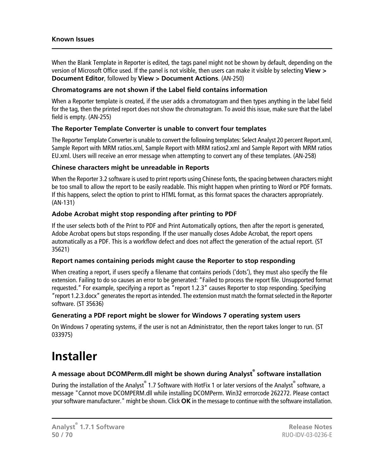#### **Known Issues**

When the Blank Template in Reporter is edited, the tags panel might not be shown by default, depending on the version of Microsoft Office used. If the panel is not visible, then users can make it visible by selecting **View > Document Editor**, followed by **View > Document Actions**. (AN-250)

#### **Chromatograms are not shown if the Label field contains information**

When a Reporter template is created, if the user adds a chromatogram and then types anything in the label field for the tag, then the printed report does not show the chromatogram. To avoid this issue, make sure that the label field is empty. (AN-255)

#### **The Reporter Template Converter is unable to convert four templates**

The Reporter Template Converter is unable to convert the following templates: Select Analyst 20 percent Report.xml, Sample Report with MRM ratios.xml, Sample Report with MRM ratios2.xml and Sample Report with MRM ratios EU.xml. Users will receive an error message when attempting to convert any of these templates. (AN-258)

#### **Chinese characters might be unreadable in Reports**

When the Reporter 3.2 software is used to print reports using Chinese fonts, the spacing between characters might be too small to allow the report to be easily readable. This might happen when printing to Word or PDF formats. If this happens, select the option to print to HTML format, as this format spaces the characters appropriately. (AN-131)

#### **Adobe Acrobat might stop responding after printing to PDF**

If the user selects both of the Print to PDF and Print Automatically options, then after the report is generated, Adobe Acrobat opens but stops responding. If the user manually closes Adobe Acrobat, the report opens automatically as a PDF. This is a workflow defect and does not affect the generation of the actual report. (ST 35621)

#### **Report names containing periods might cause the Reporter to stop responding**

When creating a report, if users specify a filename that contains periods ('dots'), they must also specify the file extension. Failing to do so causes an error to be generated: "Failed to process the report file. Unsupported format requested." For example, specifying a report as "report 1.2.3" causes Reporter to stop responding. Specifying "report 1.2.3.docx" generates the report as intended. The extension must match the format selected in the Reporter software. (ST 35636)

#### <span id="page-49-0"></span>**Generating a PDF report might be slower for Windows 7 operating system users**

On Windows 7 operating systems, if the user is not an Administrator, then the report takes longer to run. (ST 033975)

### **Installer**

#### **A message about DCOMPerm.dll might be shown during Analyst® software installation**

During the installation of the Analyst® 1.7 Software with HotFix 1 or later versions of the Analyst® software, a message "Cannot move DCOMPERM.dll while installing DCOMPerm. Win32 errrorcode 262272. Please contact your software manufacturer." might be shown. Click **OK** in the message to continue with the software installation.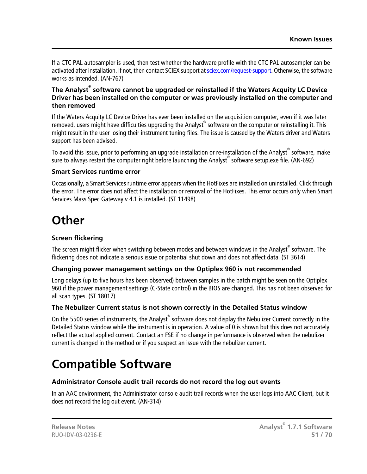If a CTC PAL autosampler is used, then test whether the hardware profile with the CTC PAL autosampler can be activated after installation. If not, then contact SCIEX support at [sciex.com/request-support.](https://sciex.com/request-support) Otherwise, the software works as intended. (AN-767)

#### **The Analyst® software cannot be upgraded or reinstalled if the Waters Acquity LC Device Driver has been installed on the computer or was previously installed on the computer and then removed**

If the Waters Acquity LC Device Driver has ever been installed on the acquisition computer, even if it was later removed, users might have difficulties upgrading the Analyst® software on the computer or reinstalling it. This might result in the user losing their instrument tuning files. The issue is caused by the Waters driver and Waters support has been advised.

To avoid this issue, prior to performing an upgrade installation or re-installation of the Analyst<sup>®</sup> software, make sure to always restart the computer right before launching the Analyst® software setup.exe file. (AN-692)

#### **Smart Services runtime error**

<span id="page-50-0"></span>Occasionally, a Smart Services runtime error appears when the HotFixes are installed on uninstalled. Click through the error. The error does not affect the installation or removal of the HotFixes. This error occurs only when Smart Services Mass Spec Gateway v 4.1 is installed. (ST 11498)

### **Other**

#### **Screen flickering**

The screen might flicker when switching between modes and between windows in the Analyst<sup>®</sup> software. The flickering does not indicate a serious issue or potential shut down and does not affect data. (ST 3614)

#### **Changing power management settings on the Optiplex 960 is not recommended**

Long delays (up to five hours has been observed) between samples in the batch might be seen on the Optiplex 960 if the power management settings (C-State control) in the BIOS are changed. This has not been observed for all scan types. (ST 18017)

#### **The Nebulizer Current status is not shown correctly in the Detailed Status window**

<span id="page-50-1"></span>On the 5500 series of instruments, the Analyst® software does not display the Nebulizer Current correctly in the Detailed Status window while the instrument is in operation. A value of 0 is shown but this does not accurately reflect the actual applied current. Contact an FSE if no change in performance is observed when the nebulizer current is changed in the method or if you suspect an issue with the nebulizer current.

### **Compatible Software**

#### **Administrator Console audit trail records do not record the log out events**

In an AAC environment, the Administrator console audit trail records when the user logs into AAC Client, but it does not record the log out event. (AN-314)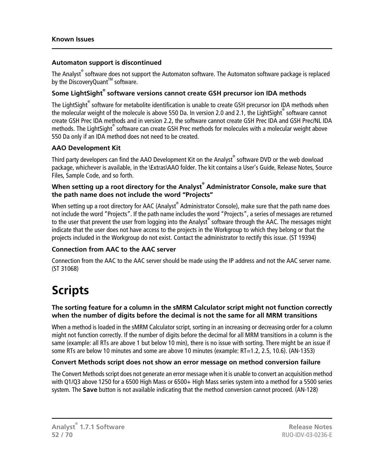#### **Automaton support is discontinued**

The Analyst® software does not support the Automaton software. The Automaton software package is replaced by the DiscoveryQuant<sup>™</sup> software.

#### **Some LightSight® software versions cannot create GSH precursor ion IDA methods**

The LightSight<sup>®</sup> software for metabolite identification is unable to create GSH precursor ion IDA methods when the molecular weight of the molecule is above 550 Da. In version 2.0 and 2.1, the LightSight® software cannot create GSH Prec IDA methods and in version 2.2, the software cannot create GSH Prec IDA and GSH Prec/NL IDA methods. The LightSight $^\circ$  software can create GSH Prec methods for molecules with a molecular weight above 550 Da only if an IDA method does not need to be created.

#### **AAO Development Kit**

Third party developers can find the AAO Development Kit on the Analyst® software DVD or the web dowload package, whichever is available, in the \Extras\AAO folder. The kit contains a User's Guide, Release Notes, Source Files, Sample Code, and so forth.

#### **When setting up a root directory for the Analyst® Administrator Console, make sure that the path name does not include the word "Projects"**

When setting up a root directory for AAC (Analyst® Administrator Console), make sure that the path name does not include the word "Projects". If the path name includes the word "Projects", a series of messages are returned to the user that prevent the user from logging into the Analyst® software through the AAC. The messages might indicate that the user does not have access to the projects in the Workgroup to which they belong or that the projects included in the Workgroup do not exist. Contact the administrator to rectify this issue. (ST 19394)

#### **Connection from AAC to the AAC server**

<span id="page-51-0"></span>Connection from the AAC to the AAC server should be made using the IP address and not the AAC server name. (ST 31068)

### **Scripts**

#### **The sorting feature for a column in the sMRM Calculator script might not function correctly when the number of digits before the decimal is not the same for all MRM transitions**

When a method is loaded in the sMRM Calculator script, sorting in an increasing or decreasing order for a column might not function correctly. If the number of digits before the decimal for all MRM transitions in a column is the same (example: all RTs are above 1 but below 10 min), there is no issue with sorting. There might be an issue if some RTs are below 10 minutes and some are above 10 minutes (example: RT=1.2, 2.5, 10.6). (AN-1353)

#### **Convert Methods script does not show an error message on method conversion failure**

The Convert Methods script does not generate an error message when it is unable to convert an acquisition method with Q1/Q3 above 1250 for a 6500 High Mass or 6500+ High Mass series system into a method for a 5500 series system. The **Save** button is not available indicating that the method conversion cannot proceed. (AN-128)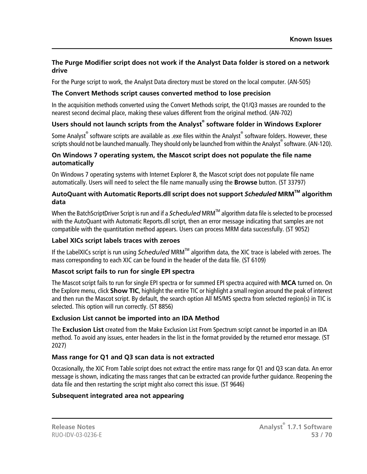#### **The Purge Modifier script does not work if the Analyst Data folder is stored on a network drive**

For the Purge script to work, the Analyst Data directory must be stored on the local computer. (AN-505)

#### **The Convert Methods script causes converted method to lose precision**

In the acquisition methods converted using the Convert Methods script, the Q1/Q3 masses are rounded to the nearest second decimal place, making these values different from the original method. (AN-702)

#### **Users should not launch scripts from the Analyst® software folder in Windows Explorer**

Some Analyst<sup>®</sup> software scripts are available as .exe files within the Analyst® software folders. However, these scripts should not be launched manually. They should only be launched from within the Analyst® software. (AN-120).

#### **On Windows 7 operating system, the Mascot script does not populate the file name automatically**

On Windows 7 operating systems with Internet Explorer 8, the Mascot script does not populate file name automatically. Users will need to select the file name manually using the **Browse** button. (ST 33797)

#### **AutoQuant with Automatic Reports.dll script does not support** *Scheduled* **MRMTM algorithm data**

When the BatchScriptDriver Script is run and if a *Scheduled* MRMTM algorithm data file is selected to be processed with the AutoQuant with Automatic Reports.dll script, then an error message indicating that samples are not compatible with the quantitation method appears. Users can process MRM data successfully. (ST 9052)

#### **Label XICs script labels traces with zeroes**

If the LabelXICs script is run using *Scheduled* MRMTM algorithm data, the XIC trace is labeled with zeroes. The mass corresponding to each XIC can be found in the header of the data file. (ST 6109)

#### **Mascot script fails to run for single EPI spectra**

The Mascot script fails to run for single EPI spectra or for summed EPI spectra acquired with **MCA** turned on. On the Explore menu, click **Show TIC**, highlight the entire TIC or highlight a small region around the peak of interest and then run the Mascot script. By default, the search option All MS/MS spectra from selected region(s) in TIC is selected. This option will run correctly. (ST 8856)

#### **Exclusion List cannot be imported into an IDA Method**

The **Exclusion List** created from the Make Exclusion List From Spectrum script cannot be imported in an IDA method. To avoid any issues, enter headers in the list in the format provided by the returned error message. (ST 2027)

#### **Mass range for Q1 and Q3 scan data is not extracted**

Occasionally, the XIC From Table script does not extract the entire mass range for Q1 and Q3 scan data. An error message is shown, indicating the mass ranges that can be extracted can provide further guidance. Reopening the data file and then restarting the script might also correct this issue. (ST 9646)

#### **Subsequent integrated area not appearing**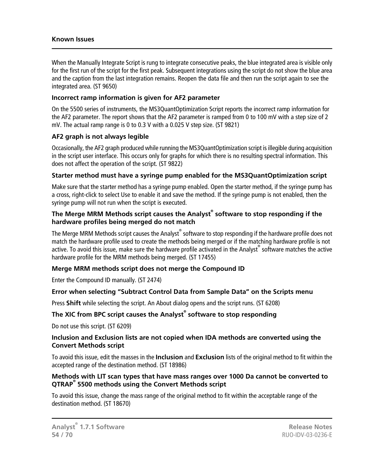#### **Known Issues**

When the Manually Integrate Script is rung to integrate consecutive peaks, the blue integrated area is visible only for the first run of the script for the first peak. Subsequent integrations using the script do not show the blue area and the caption from the last integration remains. Reopen the data file and then run the script again to see the integrated area. (ST 9650)

#### **Incorrect ramp information is given for AF2 parameter**

On the 5500 series of instruments, the MS3QuantOptimization Script reports the incorrect ramp information for the AF2 parameter. The report shows that the AF2 parameter is ramped from 0 to 100 mV with a step size of 2 mV. The actual ramp range is 0 to 0.3 V with a 0.025 V step size. (ST 9821)

#### **AF2 graph is not always legible**

Occasionally, the AF2 graph produced while running the MS3QuantOptimization script is illegible during acquisition in the script user interface. This occurs only for graphs for which there is no resulting spectral information. This does not affect the operation of the script. (ST 9822)

#### **Starter method must have a syringe pump enabled for the MS3QuantOptimization script**

Make sure that the starter method has a syringe pump enabled. Open the starter method, if the syringe pump has a cross, right-click to select Use to enable it and save the method. If the syringe pump is not enabled, then the syringe pump will not run when the script is executed.

#### **The Merge MRM Methods script causes the Analyst® software to stop responding if the hardware profiles being merged do not match**

The Merge MRM Methods script causes the Analyst $^\circ$  software to stop responding if the hardware profile does not match the hardware profile used to create the methods being merged or if the matching hardware profile is not active. To avoid this issue, make sure the hardware profile activated in the Analyst® software matches the active hardware profile for the MRM methods being merged. (ST 17455)

#### **Merge MRM methods script does not merge the Compound ID**

Enter the Compound ID manually. (ST 2474)

#### **Error when selecting "Subtract Control Data from Sample Data" on the Scripts menu**

Press **Shift** while selecting the script. An About dialog opens and the script runs. (ST 6208)

#### **The XIC from BPC script causes the Analyst® software to stop responding**

Do not use this script. (ST 6209)

#### **Inclusion and Exclusion lists are not copied when IDA methods are converted using the Convert Methods script**

To avoid this issue, edit the masses in the **Inclusion** and **Exclusion** lists of the original method to fit within the accepted range of the destination method. (ST 18986)

#### **Methods with LIT scan types that have mass ranges over 1000 Da cannot be converted to QTRAP® 5500 methods using the Convert Methods script**

To avoid this issue, change the mass range of the original method to fit within the acceptable range of the destination method. (ST 18670)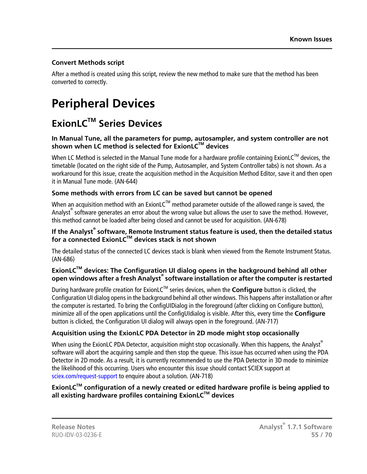#### **Convert Methods script**

After a method is created using this script, review the new method to make sure that the method has been converted to correctly.

## <span id="page-54-0"></span>**Peripheral Devices**

### <span id="page-54-1"></span>**ExionLCTM Series Devices**

#### **In Manual Tune, all the parameters for pump, autosampler, and system controller are not shown when LC method is selected for ExionLCTM devices**

When LC Method is selected in the Manual Tune mode for a hardware profile containing ExionLC<sup>TM</sup> devices, the timetable (located on the right side of the Pump, Autosampler, and System Controller tabs) is not shown. As a workaround for this issue, create the acquisition method in the Acquisition Method Editor, save it and then open it in Manual Tune mode. (AN-644)

#### **Some methods with errors from LC can be saved but cannot be opened**

When an acquisition method with an ExionLC™ method parameter outside of the allowed range is saved, the Analyst<sup>®</sup> software generates an error about the wrong value but allows the user to save the method. However, this method cannot be loaded after being closed and cannot be used for acquisition. (AN-678)

#### **If the Analyst® software, Remote Instrument status feature is used, then the detailed status for a connected ExionLCTM devices stack is not shown**

The detailed status of the connected LC devices stack is blank when viewed from the Remote Instrument Status. (AN-686)

#### **ExionLCTM devices: The Configuration UI dialog opens in the background behind all other open windows after a fresh Analyst® software installation or after the computer is restarted**

During hardware profile creation for ExionLCTM series devices, when the **Configure** button is clicked, the Configuration UI dialog opens in the background behind all other windows. This happens after installation or after the computer is restarted. To bring the ConfigUIDialog in the foreground (after clicking on Configure button), minimize all of the open applications until the ConfigUIdialog is visible. After this, every time the **Configure** button is clicked, the Configuration UI dialog will always open in the foreground. (AN-717)

#### **Acquisition using the ExionLC PDA Detector in 2D mode might stop occasionally**

When using the ExionLC PDA Detector, acquisition might stop occasionally. When this happens, the Analyst® software will abort the acquiring sample and then stop the queue. This issue has occurred when using the PDA Detector in 2D mode. As a result, it is currently recommended to use the PDA Detector in 3D mode to minimize the likelihood of this occurring. Users who encounter this issue should contact SCIEX support at [sciex.com/request-support](https://sciex.com/request-support) to enquire about a solution. (AN-718)

#### **ExionLCTM configuration of a newly created or edited hardware profile is being applied to all existing hardware profiles containing ExionLCTM devices**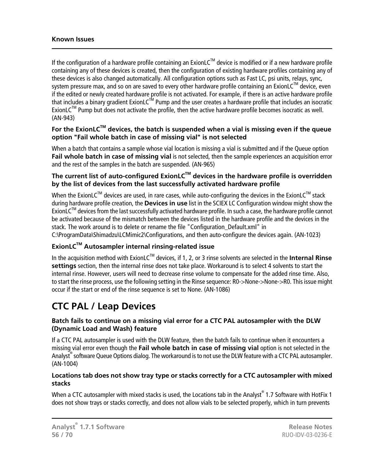#### **Known Issues**

If the configuration of a hardware profile containing an ExionLC<sup>TM</sup> device is modified or if a new hardware profile containing any of these devices is created, then the configuration of existing hardware profiles containing any of these devices is also changed automatically. All configuration options such as Fast LC, psi units, relays, sync, system pressure max, and so on are saved to every other hardware profile containing an ExionLC<sup>TM</sup> device, even if the edited or newly created hardware profile is not activated. For example, if there is an active hardware profile that includes a binary gradient ExionLC<sup>TM</sup> Pump and the user creates a hardware profile that includes an isocratic ExionL $C^{TM}$  Pump but does not activate the profile, then the active hardware profile becomes isocratic as well. (AN-943)

#### **For the ExionLCTM devices, the batch is suspended when a vial is missing even if the queue option "Fail whole batch in case of missing vial" is not selected**

When a batch that contains a sample whose vial location is missing a vial is submitted and if the Queue option **Fail whole batch in case of missing vial** is not selected, then the sample experiences an acquisition error and the rest of the samples in the batch are suspended. (AN-965)

#### **The current list of auto-configured ExionLCTM devices in the hardware profile is overridden by the list of devices from the last successfully activated hardware profile**

When the ExionLC<sup>TM</sup> devices are used, in rare cases, while auto-configuring the devices in the ExionLC<sup>TM</sup> stack during hardware profile creation, the **Devices in use** list in the SCIEX LC Configuration window might show the  $ExionLC^{TM}$  devices from the last successfully activated hardware profile. In such a case, the hardware profile cannot be activated because of the mismatch between the devices listed in the hardware profile and the devices in the stack. The work around is to delete or rename the file "Configuration Default.xml" in C:\ProgramData\Shimadzu\LCMimic2\Configurations, and then auto-configure the devices again. (AN-1023)

#### **ExionLCTM Autosampler internal rinsing-related issue**

<span id="page-55-0"></span>In the acquisition method with ExionLCTM devices, if 1, 2, or 3 rinse solvents are selected in the **Internal Rinse settings** section, then the internal rinse does not take place. Workaround is to select 4 solvents to start the internal rinse. However, users will need to decrease rinse volume to compensate for the added rinse time. Also, to start the rinse process, use the following setting in the Rinse sequence: R0->None->None->R0. This issue might occur if the start or end of the rinse sequence is set to None. (AN-1086)

### **CTC PAL / Leap Devices**

#### **Batch fails to continue on a missing vial error for a CTC PAL autosampler with the DLW (Dynamic Load and Wash) feature**

If a CTC PAL autosampler is used with the DLW feature, then the batch fails to continue when it encounters a missing vial error even though the **Fail whole batch in case of missing vial** option is not selected in the Analyst® software Queue Options dialog. The workaround is to not use the DLW feature with a CTC PAL autosampler. (AN-1004)

#### **Locations tab does not show tray type or stacks correctly for a CTC autosampler with mixed stacks**

When a CTC autosampler with mixed stacks is used, the Locations tab in the Analyst $\degree$  1.7 Software with HotFix 1 does not show trays or stacks correctly, and does not allow vials to be selected properly, which in turn prevents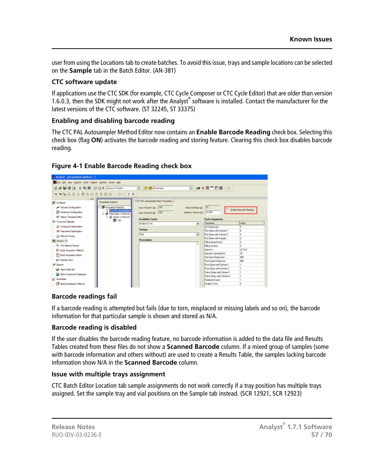user from using the Locations tab to create batches. To avoid this issue, trays and sample locations can be selected on the **Sample** tab in the Batch Editor. (AN-381)

#### **CTC software update**

If applications use the CTC SDK (for example, CTC Cycle Composer or CTC Cycle Editor) that are older than version 1.6.0.3, then the SDK might not work after the Analyst® software is installed. Contact the manufacturer for the latest versions of the CTC software. (ST 32245, ST 33375)

#### **Enabling and disabling barcode reading**

The CTC PAL Autosampler Method Editor now contains an **Enable Barcode Reading** check box. Selecting this check box (flag **ON**) activates the barcode reading and storing feature. Clearing this check box disables barcode reading.



#### **Figure 4-1 Enable Barcode Reading check box**

#### **Barcode readings fail**

If a barcode reading is attempted but fails (due to torn, misplaced or missing labels and so on), the barcode information for that particular sample is shown and stored as N/A.

#### **Barcode reading is disabled**

If the user disables the barcode reading feature, no barcode information is added to the data file and Results Tables created from these files do not show a **Scanned Barcode** column. If a mixed group of samples (some with barcode information and others without) are used to create a Results Table, the samples lacking barcode information show N/A in the **Scanned Barcode** column.

#### **Issue with multiple trays assignment**

CTC Batch Editor Location tab sample assignments do not work correctly if a tray position has multiple trays assigned. Set the sample tray and vial positions on the Sample tab instead. (SCR 12921, SCR 12923)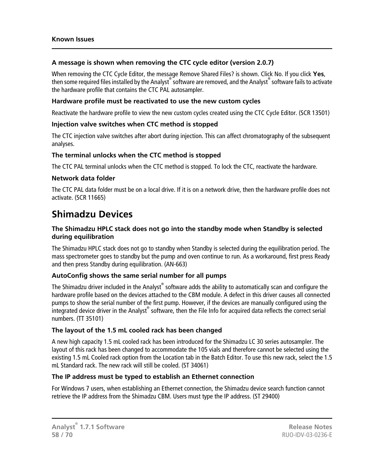#### **A message is shown when removing the CTC cycle editor (version 2.0.7)**

When removing the CTC Cycle Editor, the message Remove Shared Files? is shown. Click No. If you click **Yes**, then some required files installed by the Analyst® software are removed, and the Analyst® software fails to activate the hardware profile that contains the CTC PAL autosampler.

#### **Hardware profile must be reactivated to use the new custom cycles**

Reactivate the hardware profile to view the new custom cycles created using the CTC Cycle Editor. (SCR 13501)

#### **Injection valve switches when CTC method is stopped**

The CTC injection valve switches after abort during injection. This can affect chromatography of the subsequent analyses.

#### **The terminal unlocks when the CTC method is stopped**

The CTC PAL terminal unlocks when the CTC method is stopped. To lock the CTC, reactivate the hardware.

#### **Network data folder**

<span id="page-57-0"></span>The CTC PAL data folder must be on a local drive. If it is on a network drive, then the hardware profile does not activate. (SCR 11665)

### **Shimadzu Devices**

#### **The Shimadzu HPLC stack does not go into the standby mode when Standby is selected during equilibration**

The Shimadzu HPLC stack does not go to standby when Standby is selected during the equilibration period. The mass spectrometer goes to standby but the pump and oven continue to run. As a workaround, first press Ready and then press Standby during equilibration. (AN-663)

#### **AutoConfig shows the same serial number for all pumps**

The Shimadzu driver included in the Analyst $^{\circ}$  software adds the ability to automatically scan and configure the hardware profile based on the devices attached to the CBM module. A defect in this driver causes all connected pumps to show the serial number of the first pump. However, if the devices are manually configured using the .<br>Integrated device driver in the Analyst® software, then the File Info for acquired data reflects the correct serial numbers. (TT 35101)

#### **The layout of the 1.5 mL cooled rack has been changed**

A new high capacity 1.5 mL cooled rack has been introduced for the Shimadzu LC 30 series autosampler. The layout of this rack has been changed to accommodate the 105 vials and therefore cannot be selected using the existing 1.5 mL Cooled rack option from the Location tab in the Batch Editor. To use this new rack, select the 1.5 mL Standard rack. The new rack will still be cooled. (ST 34061)

#### **The IP address must be typed to establish an Ethernet connection**

For Windows 7 users, when establishing an Ethernet connection, the Shimadzu device search function cannot retrieve the IP address from the Shimadzu CBM. Users must type the IP address. (ST 29400)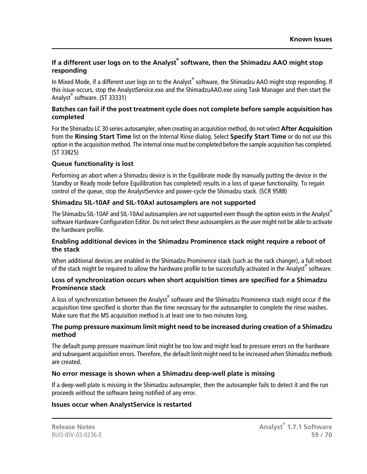#### **If a different user logs on to the Analyst® software, then the Shimadzu AAO might stop responding**

In Mixed Mode, if a different user logs on to the Analyst® software, the Shimadzu AAO might stop responding. If this issue occurs, stop the AnalystService.exe and the ShimadzuAAO.exe using Task Manager and then start the Analyst® software. (ST 33331)

#### **Batches can fail if the post treatment cycle does not complete before sample acquisition has completed**

For the Shimadzu LC 30 series autosampler, when creating an acquisition method, do not select **After Acquisition** from the **Rinsing Start Time** list on the Internal Rinse dialog. Select **Specify Start Time** or do not use this option in the acquisition method. The internal rinse must be completed before the sample acquisition has completed. (ST 33825)

#### **Queue functionality is lost**

Performing an abort when a Shimadzu device is in the Equilibrate mode (by manually putting the device in the Standby or Ready mode before Equilibration has completed) results in a loss of queue functionality. To regain control of the queue, stop the AnalystService and power-cycle the Shimadzu stack. (SCR 9588)

#### **Shimadzu SIL-10AF and SIL-10Axl autosamplers are not supported**

The Shimadzu SIL-10AF and SIL-10Axl autosamplers are not supported even though the option exists in the Analyst® software Hardware Configuration Editor. Do not select these autosamplers as the user might not be able to activate the hardware profile.

#### **Enabling additional devices in the Shimadzu Prominence stack might require a reboot of the stack**

When additional devices are enabled in the Shimadzu Prominence stack (such as the rack changer), a full reboot of the stack might be required to allow the hardware profile to be successfully activated in the Analyst®software.

#### **Loss of synchronization occurs when short acquisition times are specified for a Shimadzu Prominence stack**

A loss of synchronization between the Analyst® software and the Shimadzu Prominence stack might occur if the acquisition time specified is shorter than the time necessary for the autosampler to complete the rinse washes. Make sure that the MS acquisition method is at least one to two minutes long.

#### **The pump pressure maximum limit might need to be increased during creation of a Shimadzu method**

The default pump pressure maximum limit might be too low and might lead to pressure errors on the hardware and subsequent acquisition errors. Therefore, the default limit might need to be increased when Shimadzu methods are created.

#### **No error message is shown when a Shimadzu deep-well plate is missing**

If a deep-well plate is missing in the Shimadzu autosampler, then the autosampler fails to detect it and the run proceeds without the software being notified of any error.

#### **Issues occur when AnalystService is restarted**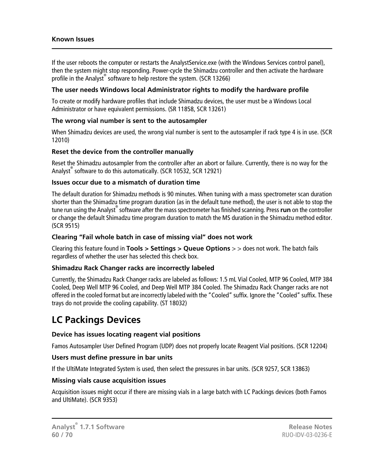#### **Known Issues**

If the user reboots the computer or restarts the AnalystService.exe (with the Windows Services control panel), then the system might stop responding. Power-cycle the Shimadzu controller and then activate the hardware profile in the Analyst® software to help restore the system. (SCR 13266)

#### **The user needs Windows local Administrator rights to modify the hardware profile**

To create or modify hardware profiles that include Shimadzu devices, the user must be a Windows Local Administrator or have equivalent permissions. (SR 11858, SCR 13261)

#### **The wrong vial number is sent to the autosampler**

When Shimadzu devices are used, the wrong vial number is sent to the autosampler if rack type 4 is in use. (SCR 12010)

#### **Reset the device from the controller manually**

Reset the Shimadzu autosampler from the controller after an abort or failure. Currently, there is no way for the Analyst® software to do this automatically. (SCR 10532, SCR 12921)

#### **Issues occur due to a mismatch of duration time**

The default duration for Shimadzu methods is 90 minutes. When tuning with a mass spectrometer scan duration shorter than the Shimadzu time program duration (as in the default tune method), the user is not able to stop the tune run using the Analyst® software after the mass spectrometer has finished scanning. Press **run** on the controller or change the default Shimadzu time program duration to match the MS duration in the Shimadzu method editor. (SCR 9515)

#### **Clearing "Fail whole batch in case of missing vial" does not work**

Clearing this feature found in **Tools > Settings > Queue Options** > > does not work. The batch fails regardless of whether the user has selected this check box.

#### **Shimadzu Rack Changer racks are incorrectly labeled**

<span id="page-59-0"></span>Currently, the Shimadzu Rack Changer racks are labeled as follows: 1.5 mL Vial Cooled, MTP 96 Cooled, MTP 384 Cooled, Deep Well MTP 96 Cooled, and Deep Well MTP 384 Cooled. The Shimadzu Rack Changer racks are not offered in the cooled format but are incorrectly labeled with the "Cooled" suffix. Ignore the "Cooled" suffix. These trays do not provide the cooling capability. (ST 18032)

### **LC Packings Devices**

#### **Device has issues locating reagent vial positions**

Famos Autosampler User Defined Program (UDP) does not properly locate Reagent Vial positions. (SCR 12204)

#### **Users must define pressure in bar units**

If the UltiMate Integrated System is used, then select the pressures in bar units. (SCR 9257, SCR 13863)

#### **Missing vials cause acquisition issues**

Acquisition issues might occur if there are missing vials in a large batch with LC Packings devices (both Famos and UltiMate). (SCR 9353)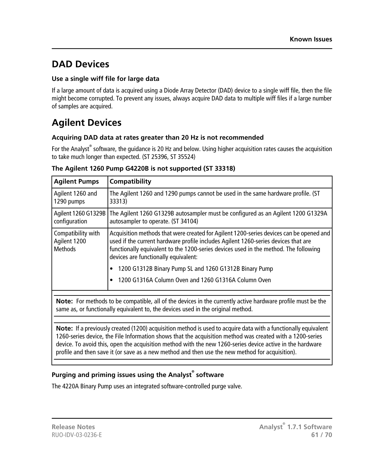### <span id="page-60-0"></span>**DAD Devices**

#### **Use a single wiff file for large data**

If a large amount of data is acquired using a Diode Array Detector (DAD) device to a single wiff file, then the file might become corrupted. To prevent any issues, always acquire DAD data to multiple wiff files if a large number of samples are acquired.

### <span id="page-60-1"></span>**Agilent Devices**

#### **Acquiring DAD data at rates greater than 20 Hz is not recommended**

For the Analyst<sup>®</sup> software, the guidance is 20 Hz and below. Using higher acquisition rates causes the acquisition to take much longer than expected. (ST 25396, ST 35524)

| <b>Agilent Pumps</b>                                 | Compatibility                                                                                                                                                                                                                                                                                                 |
|------------------------------------------------------|---------------------------------------------------------------------------------------------------------------------------------------------------------------------------------------------------------------------------------------------------------------------------------------------------------------|
| Agilent 1260 and<br>1290 pumps                       | The Agilent 1260 and 1290 pumps cannot be used in the same hardware profile. (ST<br>33313)                                                                                                                                                                                                                    |
| Agilent 1260 G1329B<br>configuration                 | The Agilent 1260 G1329B autosampler must be configured as an Agilent 1200 G1329A<br>autosampler to operate. (ST 34104)                                                                                                                                                                                        |
| Compatibility with<br>Agilent 1200<br><b>Methods</b> | Acquisition methods that were created for Agilent 1200-series devices can be opened and<br>used if the current hardware profile includes Agilent 1260-series devices that are<br>functionally equivalent to the 1200-series devices used in the method. The following<br>devices are functionally equivalent: |
|                                                      | 1200 G1312B Binary Pump SL and 1260 G1312B Binary Pump                                                                                                                                                                                                                                                        |
|                                                      | 1200 G1316A Column Oven and 1260 G1316A Column Oven                                                                                                                                                                                                                                                           |
|                                                      | Note: For methods to be compatible, all of the devices in the currently active hardware profile must be the<br>same as, or functionally equivalent to, the devices used in the original method.                                                                                                               |
|                                                      | Note: If a previously created (1200) acquisition method is used to acquire data with a functionally equivalent<br>the contract of the contract of the contract of the contract of the contract of the contract of the contract of                                                                             |

#### **The Agilent 1260 Pump G4220B is not supported (ST 33318)**

1260-series device, the File Information shows that the acquisition method was created with a 1200-series device. To avoid this, open the acquisition method with the new 1260-series device active in the hardware profile and then save it (or save as a new method and then use the new method for acquisition).

#### **Purging and priming issues using the Analyst® software**

The 4220A Binary Pump uses an integrated software-controlled purge valve.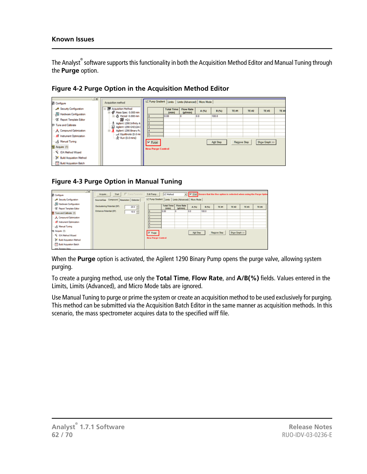The Analyst<sup>®</sup> software supports this functionality in both the Acquisition Method Editor and Manual Tuning through the **Purge** option.



**Figure 4-2 Purge Option in the Acquisition Method Editor**

#### **Figure 4-3 Purge Option in Manual Tuning**



When the **Purge** option is activated, the Agilent 1290 Binary Pump opens the purge valve, allowing system purging.

To create a purging method, use only the **Total Time**, **Flow Rate**, and **A/B(%)** fields. Values entered in the Limits, Limits (Advanced), and Micro Mode tabs are ignored.

Use Manual Tuning to purge or prime the system or create an acquisition method to be used exclusively for purging. This method can be submitted via the Acquisition Batch Editor in the same manner as acquisition methods. In this scenario, the mass spectrometer acquires data to the specified wiff file.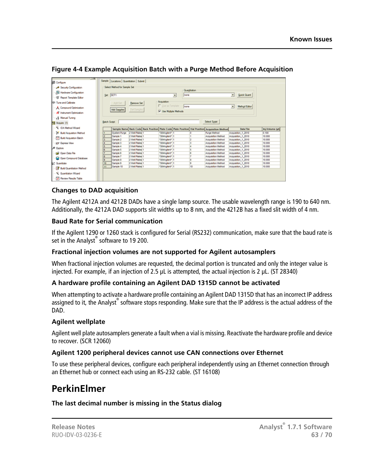|                                                                                                                                                                         |                      | Select Method for Sample Set |                   |                        |           |              |                                                                                                |                          |                     |                 |
|-------------------------------------------------------------------------------------------------------------------------------------------------------------------------|----------------------|------------------------------|-------------------|------------------------|-----------|--------------|------------------------------------------------------------------------------------------------|--------------------------|---------------------|-----------------|
| Security Configuration                                                                                                                                                  |                      |                              |                   |                        |           | Quantitation |                                                                                                |                          |                     |                 |
| Hardware Configuration                                                                                                                                                  |                      |                              |                   |                        |           |              |                                                                                                |                          | Quick Quart         |                 |
| <b>35</b> Report Template Editor                                                                                                                                        | Set: SET1            |                              |                   |                        | none<br>Ξ |              |                                                                                                | Ξ                        |                     |                 |
| 181 Tune and Calibrate                                                                                                                                                  |                      | Add Set                      | <b>Remove Set</b> | Acquisition            |           |              |                                                                                                |                          |                     |                 |
| A. Compound Optimization                                                                                                                                                |                      |                              |                   | Use as Template        | Inone     |              |                                                                                                | $\overline{\phantom{a}}$ | Method Editor       |                 |
| Al Instrument Optimization                                                                                                                                              |                      | <b>Add Samples</b>           | Del Samples       | V Use Multiple Methods |           |              |                                                                                                |                          |                     |                 |
| R Manual Tuning                                                                                                                                                         |                      |                              |                   |                        |           |              |                                                                                                |                          |                     |                 |
| Pd Acquire (1)                                                                                                                                                          | <b>Batch Script:</b> |                              |                   |                        |           |              | Select Sgript                                                                                  |                          |                     |                 |
|                                                                                                                                                                         |                      |                              |                   |                        |           |              |                                                                                                |                          |                     |                 |
| x<br><b>IDA Method Wizard</b>                                                                                                                                           |                      |                              |                   |                        |           |              | Sample Name Rack Code Rack Position Plate Code Plate Position Vial Position Acquisition Method |                          | <b>Data File</b>    | Inj.Volume (ul) |
| <b>In</b> Build Acquisition Method                                                                                                                                      |                      | System Purge                 | 2 Well Plates 1   | "384Agilent" 1         |           |              | <b>Purge Method</b>                                                                            |                          | Acquisition 1 2010  | 0.100           |
|                                                                                                                                                                         | 2                    | Sample 1                     | 2 Well Plates 1   | *384Aolent* 1          |           |              | Acquisition Method                                                                             |                          | Acquisition 1 2010  | 10,000          |
|                                                                                                                                                                         |                      | Sample 2                     | 2 Well Plates 1   | "384Aglent" 1          |           |              | Acquisition Method                                                                             |                          | Acquisition 1, 2010 | 10,000          |
|                                                                                                                                                                         | ٠                    | Sample 3                     | 2 Well Plates 1   | "384Agilent" 1         |           |              | Acquisition Method                                                                             |                          | Acquisition 1 2010  | 10,000          |
|                                                                                                                                                                         | ĸ                    | Sample 4                     | 2 Well Plates 1   | "384Aolent" 1          |           |              | Acquisition Method                                                                             |                          | Acquisition 1 2010  | 10.000          |
|                                                                                                                                                                         | e.                   | Sample 5                     | 2 Well Plates 1   | "384Aglent" 1          |           |              | Acquisition Method                                                                             |                          | Acquisition 1 2010  | 10,000          |
|                                                                                                                                                                         | ,                    | Sample 6                     | 2 Well Plates 1   | "384Aglent" 1          |           |              | Acquisition Method                                                                             |                          | Acquisition 1 2010  | 10.000          |
|                                                                                                                                                                         | 8                    | Sample 7                     | 2 Well Plates 1   | "384Aglent" 1          |           |              | Acquisition Method                                                                             |                          | Acquisition 1 2010  | 10,000          |
|                                                                                                                                                                         | g.                   | Sample 8                     | 2 Well Plates 1   | *384Aglent* 1          |           |              | Acquisition Method                                                                             |                          | Acquisition 1 2010  | 10,000          |
|                                                                                                                                                                         | 10                   | Sample 9                     | 2 Well Plates 1   | "384Aglent" 1          |           | 9            | Acquisition Method                                                                             |                          | Acquisition 1 2010  | 10,000          |
| <b>Build Acquisition Batch</b><br>99 Express View<br>& Explore<br>Cal Open Data File<br>C Open Compound Database<br>A Quantitate<br><b>DV</b> Build Quantitation Method | 11                   | Sample 10                    | 2 Well Plates 1   | "384Aglent" 1          |           | 10           | Acquisition Method                                                                             |                          | Acquisition 1 2010  | 10,000          |

#### **Figure 4-4 Example Acquisition Batch with a Purge Method Before Acquisition**

#### **Changes to DAD acquisition**

The Agilent 4212A and 4212B DADs have a single lamp source. The usable wavelength range is 190 to 640 nm. Additionally, the 4212A DAD supports slit widths up to 8 nm, and the 4212B has a fixed slit width of 4 nm.

#### **Baud Rate for Serial communication**

If the Agilent 1290 or 1260 stack is configured for Serial (RS232) communication, make sure that the baud rate is set in the Analyst® software to 19 200.

#### **Fractional injection volumes are not supported for Agilent autosamplers**

When fractional injection volumes are requested, the decimal portion is truncated and only the integer value is injected. For example, if an injection of 2.5 µL is attempted, the actual injection is 2 µL. (ST 28340)

#### **A hardware profile containing an Agilent DAD 1315D cannot be activated**

When attempting to activate a hardware profile containing an Agilent DAD 1315D that has an incorrect IP address assigned to it, the Analyst® software stops responding. Make sure that the IP address is the actual address of the DAD.

#### **Agilent wellplate**

Agilent well plate autosamplers generate a fault when a vial is missing. Reactivate the hardware profile and device to recover. (SCR 12060)

#### <span id="page-62-0"></span>**Agilent 1200 peripheral devices cannot use CAN connections over Ethernet**

To use these peripheral devices, configure each peripheral independently using an Ethernet connection through an Ethernet hub or connect each using an RS-232 cable. (ST 16108)

### **PerkinElmer**

**The last decimal number is missing in the Status dialog**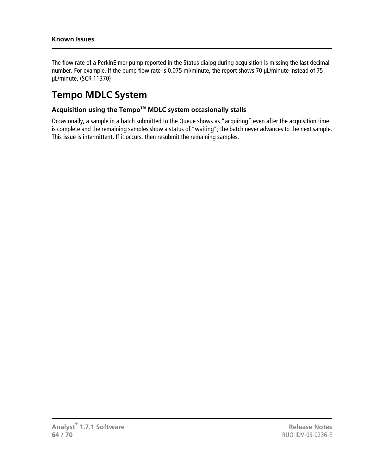The flow rate of a PerkinElmer pump reported in the Status dialog during acquisition is missing the last decimal number. For example, if the pump flow rate is 0.075 ml/minute, the report shows 70 µL/minute instead of 75 µL/minute. (SCR 11370)

### <span id="page-63-0"></span>**Tempo MDLC System**

#### **Acquisition using the Tempo™ MDLC system occasionally stalls**

Occasionally, a sample in a batch submitted to the Queue shows as "acquiring" even after the acquisition time is complete and the remaining samples show a status of "waiting"; the batch never advances to the next sample. This issue is intermittent. If it occurs, then resubmit the remaining samples.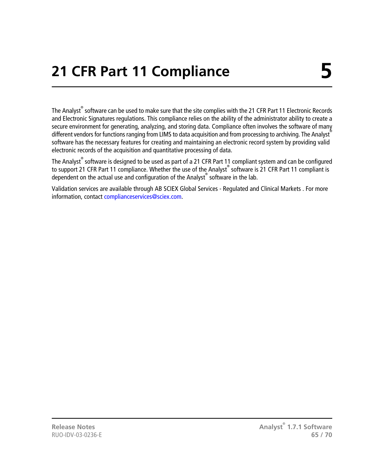<span id="page-64-0"></span>The Analyst<sup>®</sup> software can be used to make sure that the site complies with the 21 CFR Part 11 Electronic Records and Electronic Signatures regulations. This compliance relies on the ability of the administrator ability to create a secure environment for generating, analyzing, and storing data. Compliance often involves the software of many different vendors for functions ranging from LIMS to data acquisition and from processing to archiving. The Analyst<sup>®</sup> software has the necessary features for creating and maintaining an electronic record system by providing valid electronic records of the acquisition and quantitative processing of data.

The Analyst<sup>®</sup> software is designed to be used as part of a 21 CFR Part 11 compliant system and can be configured to support 21 CFR Part 11 compliance. Whether the use of the Analyst® software is 21 CFR Part 11 compliant is dependent on the actual use and configuration of the Analyst® software in the lab.

Validation services are available through AB SCIEX Global Services - Regulated and Clinical Markets . For more information, contact [complianceservices@sciex.com.](mailto:complianceservices@sciex.com)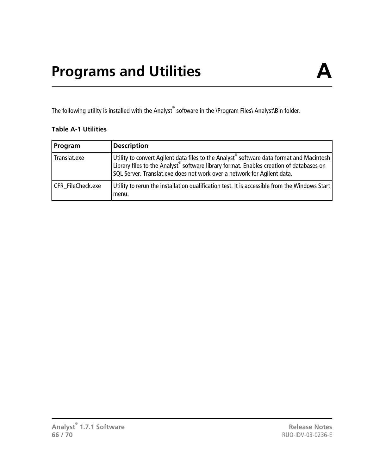<span id="page-65-0"></span>The following utility is installed with the Analyst $^\circ$  software in the **\Program Files\ Analyst\Bin folder**.

#### **Table A-1 Utilities**

| Program           | <b>Description</b>                                                                                                                                                                                                                                           |
|-------------------|--------------------------------------------------------------------------------------------------------------------------------------------------------------------------------------------------------------------------------------------------------------|
| Translat.exe      | Utility to convert Agilent data files to the Analyst software data format and Macintosh<br>Library files to the Analyst software library format. Enables creation of databases on<br>SQL Server. Translat.exe does not work over a network for Agilent data. |
| CFR FileCheck.exe | Utility to rerun the installation qualification test. It is accessible from the Windows Start<br>menu.                                                                                                                                                       |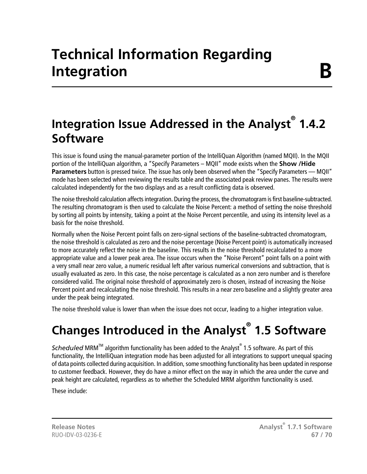# **Technical Information Regarding Integration**

## <span id="page-66-1"></span><span id="page-66-0"></span>**Integration Issue Addressed in the Analyst® 1.4.2 Software**

This issue is found using the manual-parameter portion of the IntelliQuan Algorithm (named MQII). In the MQII portion of the IntelliQuan algorithm, a "Specify Parameters – MQII" mode exists when the **Show /Hide Parameters** button is pressed twice. The issue has only been observed when the "Specify Parameters — MQII" mode has been selected when reviewing the results table and the associated peak review panes. The results were calculated independently for the two displays and as a result conflicting data is observed.

The noise threshold calculation affects integration. During the process, the chromatogram is first baseline-subtracted. The resulting chromatogram is then used to calculate the Noise Percent: a method of setting the noise threshold by sorting all points by intensity, taking a point at the Noise Percent percentile, and using its intensity level as a basis for the noise threshold.

Normally when the Noise Percent point falls on zero-signal sections of the baseline-subtracted chromatogram, the noise threshold is calculated as zero and the noise percentage (Noise Percent point) is automatically increased to more accurately reflect the noise in the baseline. This results in the noise threshold recalculated to a more appropriate value and a lower peak area. The issue occurs when the "Noise Percent" point falls on a point with a very small near zero value, a numeric residual left after various numerical conversions and subtraction, that is usually evaluated as zero. In this case, the noise percentage is calculated as a non zero number and is therefore considered valid. The original noise threshold of approximately zero is chosen, instead of increasing the Noise Percent point and recalculating the noise threshold. This results in a near zero baseline and a slightly greater area under the peak being integrated.

<span id="page-66-2"></span>The noise threshold value is lower than when the issue does not occur, leading to a higher integration value.

# **Changes Introduced in the Analyst® 1.5 Software**

Scheduled MRM<sup>™</sup> algorithm functionality has been added to the Analyst® 1.5 software. As part of this functionality, the IntelliQuan integration mode has been adjusted for all integrations to support unequal spacing of data points collected during acquisition. In addition, some smoothing functionality has been updated in response to customer feedback. However, they do have a minor effect on the way in which the area under the curve and peak height are calculated, regardless as to whether the Scheduled MRM algorithm functionality is used.

These include:

**Analyst® Release Notes 1.7.1 Software** RUO-IDV-03-0236-E **67 / 70**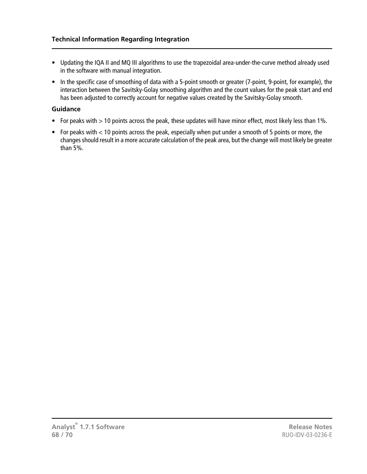- Updating the IQA II and MQ III algorithms to use the trapezoidal area-under-the-curve method already used in the software with manual integration.
- In the specific case of smoothing of data with a 5-point smooth or greater (7-point, 9-point, for example), the interaction between the Savitsky-Golay smoothing algorithm and the count values for the peak start and end has been adjusted to correctly account for negative values created by the Savitsky-Golay smooth.

#### **Guidance**

- For peaks with > 10 points across the peak, these updates will have minor effect, most likely less than 1%.
- For peaks with < 10 points across the peak, especially when put under a smooth of 5 points or more, the changes should result in a more accurate calculation of the peak area, but the change will most likely be greater than 5%.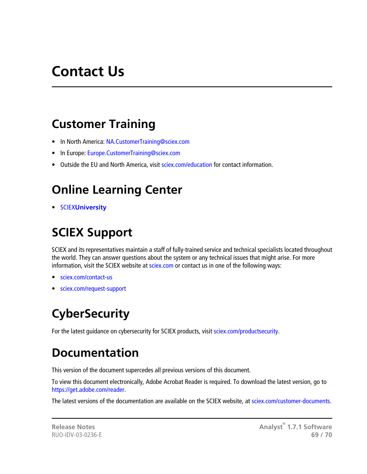# **Contact Us**

### <span id="page-68-1"></span><span id="page-68-0"></span>**Customer Training**

- In North America: [NA.CustomerTraining@sciex.com](mailto:NA.CustomerTraining@sciex.com)
- In Europe: [Europe.CustomerTraining@sciex.com](mailto:Europe.CustomerTraining@sciex.com)
- <span id="page-68-2"></span>• Outside the EU and North America, visit [sciex.com/education](https://sciex.com/education) for contact information.

## **Online Learning Center**

<span id="page-68-3"></span>• SCIEX**[University](https://training.sciex.com)**

# **SCIEX Support**

SCIEX and its representatives maintain a staff of fully-trained service and technical specialists located throughout the world. They can answer questions about the system or any technical issues that might arise. For more information, visit the SCIEX website at [sciex.com](https://sciex.com) or contact us in one of the following ways:

- <span id="page-68-4"></span>• [sciex.com/contact-us](https://sciex.com/contact-us)
- [sciex.com/request-support](https://sciex.com/request-support)

# <span id="page-68-5"></span>**CyberSecurity**

For the latest guidance on cybersecurity for SCIEX products, visit [sciex.com/productsecurity](https://sciex.com/productsecurity).

## **Documentation**

This version of the document supercedes all previous versions of this document.

To view this document electronically, Adobe Acrobat Reader is required. To download the latest version, go to [https://get.adobe.com/reader.](https://get.adobe.com/reader)

The latest versions of the documentation are available on the SCIEX website, at [sciex.com/customer-documents.](https://sciex.com/customer-documents)